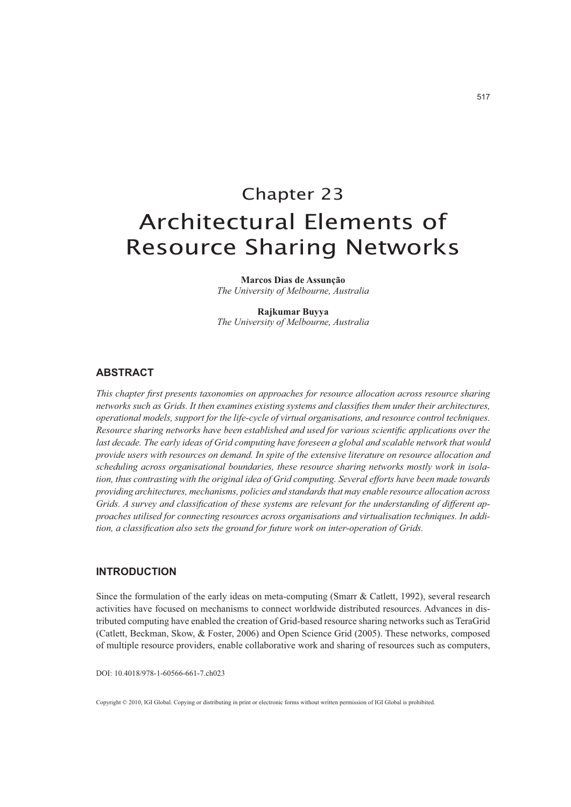# Chapter 23<br>Architectural Elements of **Lesource Sharing Networks** Resource Sharing Networks<br>Manage Nisa da Agamage

**Marcos Dias de Assunção** *The University of Melbourne, Australia*

**Rajkumar Buyya** *The University of Melbourne, Australia*

# **ABSTRACT**

*This chapter first presents taxonomies on approaches for resource allocation across resource sharing networks such as Grids. It then examines existing systems and classifies them under their architectures, operational models, support for the life-cycle of virtual organisations, and resource control techniques. Resource sharing networks have been established and used for various scientific applications over the*  last decade. The early ideas of Grid computing have foreseen a global and scalable network that would *provide users with resources on demand. In spite of the extensive literature on resource allocation and scheduling across organisational boundaries, these resource sharing networks mostly work in isolation, thus contrasting with the original idea of Grid computing. Several efforts have been made towards providing architectures, mechanisms, policies and standards that may enable resource allocation across Grids. A survey and classification of these systems are relevant for the understanding of different approaches utilised for connecting resources across organisations and virtualisation techniques. In addition, a classification also sets the ground for future work on inter-operation of Grids.*

# **INTRODUCTION**

Since the formulation of the early ideas on meta-computing (Smarr & Catlett, 1992), several research activities have focused on mechanisms to connect worldwide distributed resources. Advances in distributed computing have enabled the creation of Grid-based resource sharing networks such as TeraGrid (Catlett, Beckman, Skow, & Foster, 2006) and Open Science Grid (2005). These networks, composed of multiple resource providers, enable collaborative work and sharing of resources such as computers,

DOI: 10.4018/978-1-60566-661-7.ch023

Copyright © 2010, IGI Global. Copying or distributing in print or electronic forms without written permission of IGI Global is prohibited.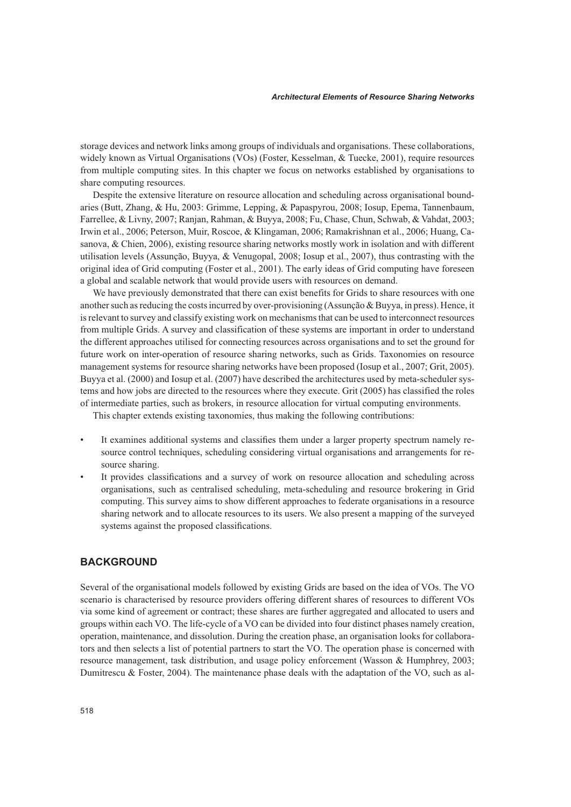storage devices and network links among groups of individuals and organisations. These collaborations, widely known as Virtual Organisations (VOs) (Foster, Kesselman, & Tuecke, 2001), require resources from multiple computing sites. In this chapter we focus on networks established by organisations to share computing resources.

Despite the extensive literature on resource allocation and scheduling across organisational boundaries (Butt, Zhang, & Hu, 2003: Grimme, Lepping, & Papaspyrou, 2008; Iosup, Epema, Tannenbaum, Farrellee, & Livny, 2007; Ranjan, Rahman, & Buyya, 2008; Fu, Chase, Chun, Schwab, & Vahdat, 2003; Irwin et al., 2006; Peterson, Muir, Roscoe, & Klingaman, 2006; Ramakrishnan et al., 2006; Huang, Casanova, & Chien, 2006), existing resource sharing networks mostly work in isolation and with different utilisation levels (Assunção, Buyya, & Venugopal, 2008; Iosup et al., 2007), thus contrasting with the original idea of Grid computing (Foster et al., 2001). The early ideas of Grid computing have foreseen a global and scalable network that would provide users with resources on demand.

We have previously demonstrated that there can exist benefits for Grids to share resources with one another such as reducing the costs incurred by over-provisioning (Assunção & Buyya, in press). Hence, it is relevant to survey and classify existing work on mechanisms that can be used to interconnect resources from multiple Grids. A survey and classification of these systems are important in order to understand the different approaches utilised for connecting resources across organisations and to set the ground for future work on inter-operation of resource sharing networks, such as Grids. Taxonomies on resource management systems for resource sharing networks have been proposed (Iosup et al., 2007; Grit, 2005). Buyya et al. (2000) and Iosup et al. (2007) have described the architectures used by meta-scheduler systems and how jobs are directed to the resources where they execute. Grit (2005) has classified the roles of intermediate parties, such as brokers, in resource allocation for virtual computing environments.

This chapter extends existing taxonomies, thus making the following contributions:

- It examines additional systems and classifies them under a larger property spectrum namely resource control techniques, scheduling considering virtual organisations and arrangements for resource sharing.
- It provides classifications and a survey of work on resource allocation and scheduling across organisations, such as centralised scheduling, meta-scheduling and resource brokering in Grid computing. This survey aims to show different approaches to federate organisations in a resource sharing network and to allocate resources to its users. We also present a mapping of the surveyed systems against the proposed classifications.

# **BACKGROUND**

Several of the organisational models followed by existing Grids are based on the idea of VOs. The VO scenario is characterised by resource providers offering different shares of resources to different VOs via some kind of agreement or contract; these shares are further aggregated and allocated to users and groups within each VO. The life-cycle of a VO can be divided into four distinct phases namely creation, operation, maintenance, and dissolution. During the creation phase, an organisation looks for collaborators and then selects a list of potential partners to start the VO. The operation phase is concerned with resource management, task distribution, and usage policy enforcement (Wasson & Humphrey, 2003; Dumitrescu & Foster, 2004). The maintenance phase deals with the adaptation of the VO, such as al-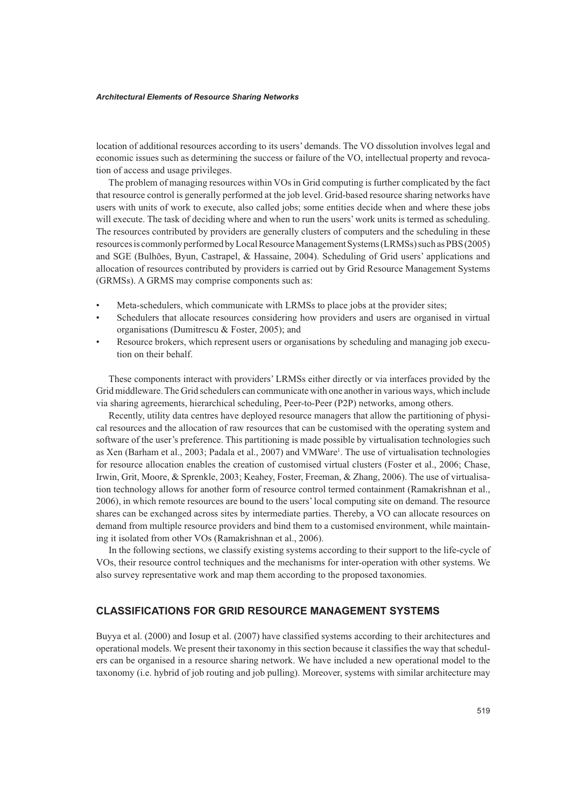location of additional resources according to its users' demands. The VO dissolution involves legal and economic issues such as determining the success or failure of the VO, intellectual property and revocation of access and usage privileges.

The problem of managing resources within VOs in Grid computing is further complicated by the fact that resource control is generally performed at the job level. Grid-based resource sharing networks have users with units of work to execute, also called jobs; some entities decide when and where these jobs will execute. The task of deciding where and when to run the users' work units is termed as scheduling. The resources contributed by providers are generally clusters of computers and the scheduling in these resources is commonly performed by Local Resource Management Systems (LRMSs) such as PBS (2005) and SGE (Bulhões, Byun, Castrapel, & Hassaine, 2004). Scheduling of Grid users' applications and allocation of resources contributed by providers is carried out by Grid Resource Management Systems (GRMSs). A GRMS may comprise components such as:

- Meta-schedulers, which communicate with LRMSs to place jobs at the provider sites;
- Schedulers that allocate resources considering how providers and users are organised in virtual organisations (Dumitrescu & Foster, 2005); and
- Resource brokers, which represent users or organisations by scheduling and managing job execution on their behalf.

These components interact with providers' LRMSs either directly or via interfaces provided by the Grid middleware. The Grid schedulers can communicate with one another in various ways, which include via sharing agreements, hierarchical scheduling, Peer-to-Peer (P2P) networks, among others.

Recently, utility data centres have deployed resource managers that allow the partitioning of physical resources and the allocation of raw resources that can be customised with the operating system and software of the user's preference. This partitioning is made possible by virtualisation technologies such as Xen (Barham et al., 2003; Padala et al., 2007) and VMWare<sup>1</sup>. The use of virtualisation technologies for resource allocation enables the creation of customised virtual clusters (Foster et al., 2006; Chase, Irwin, Grit, Moore, & Sprenkle, 2003; Keahey, Foster, Freeman, & Zhang, 2006). The use of virtualisation technology allows for another form of resource control termed containment (Ramakrishnan et al., 2006), in which remote resources are bound to the users' local computing site on demand. The resource shares can be exchanged across sites by intermediate parties. Thereby, a VO can allocate resources on demand from multiple resource providers and bind them to a customised environment, while maintaining it isolated from other VOs (Ramakrishnan et al., 2006).

In the following sections, we classify existing systems according to their support to the life-cycle of VOs, their resource control techniques and the mechanisms for inter-operation with other systems. We also survey representative work and map them according to the proposed taxonomies.

## **CLASSIFICATIONS FOR GRID RESOURCE MANAGEMENT SYSTEMS**

Buyya et al. (2000) and Iosup et al. (2007) have classified systems according to their architectures and operational models. We present their taxonomy in this section because it classifies the way that schedulers can be organised in a resource sharing network. We have included a new operational model to the taxonomy (i.e. hybrid of job routing and job pulling). Moreover, systems with similar architecture may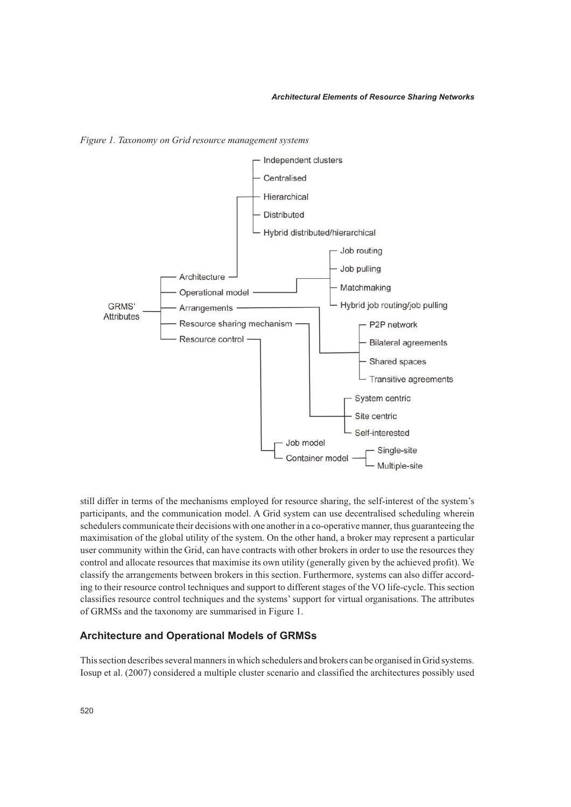

*Figure 1. Taxonomy on Grid resource management systems*

still differ in terms of the mechanisms employed for resource sharing, the self-interest of the system's participants, and the communication model. A Grid system can use decentralised scheduling wherein schedulers communicate their decisions with one another in a co-operative manner, thus guaranteeing the maximisation of the global utility of the system. On the other hand, a broker may represent a particular user community within the Grid, can have contracts with other brokers in order to use the resources they control and allocate resources that maximise its own utility (generally given by the achieved profit). We classify the arrangements between brokers in this section. Furthermore, systems can also differ according to their resource control techniques and support to different stages of the VO life-cycle. This section classifies resource control techniques and the systems' support for virtual organisations. The attributes of GRMSs and the taxonomy are summarised in Figure 1.

# **Architecture and Operational Models of GRMSs**

This section describes several manners in which schedulers and brokers can be organised in Grid systems. Iosup et al. (2007) considered a multiple cluster scenario and classified the architectures possibly used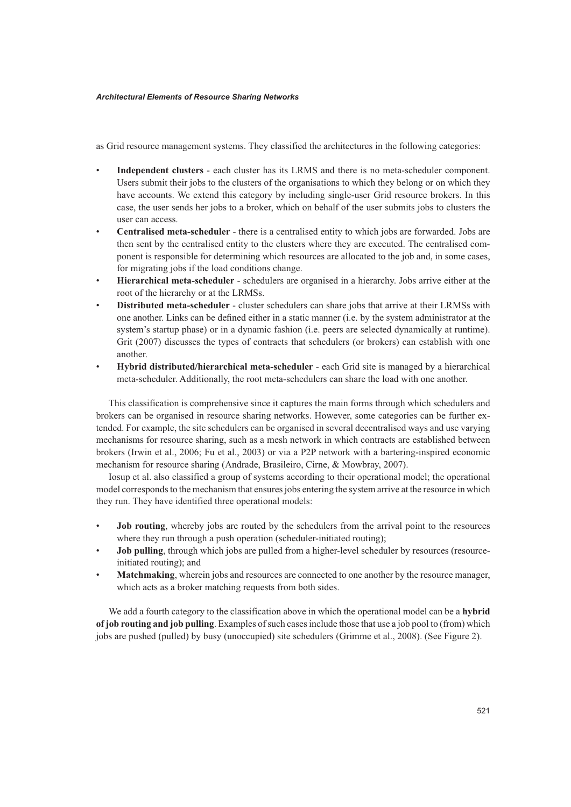as Grid resource management systems. They classified the architectures in the following categories:

- **Independent clusters** each cluster has its LRMS and there is no meta-scheduler component. Users submit their jobs to the clusters of the organisations to which they belong or on which they have accounts. We extend this category by including single-user Grid resource brokers. In this case, the user sends her jobs to a broker, which on behalf of the user submits jobs to clusters the user can access.
- **Centralised meta-scheduler** there is a centralised entity to which jobs are forwarded. Jobs are then sent by the centralised entity to the clusters where they are executed. The centralised component is responsible for determining which resources are allocated to the job and, in some cases, for migrating jobs if the load conditions change.
- **Hierarchical meta-scheduler** schedulers are organised in a hierarchy. Jobs arrive either at the root of the hierarchy or at the LRMSs.
- **Distributed meta-scheduler** cluster schedulers can share jobs that arrive at their LRMSs with one another. Links can be defined either in a static manner (i.e. by the system administrator at the system's startup phase) or in a dynamic fashion (i.e. peers are selected dynamically at runtime). Grit (2007) discusses the types of contracts that schedulers (or brokers) can establish with one another.
- **Hybrid distributed/hierarchical meta-scheduler** each Grid site is managed by a hierarchical meta-scheduler. Additionally, the root meta-schedulers can share the load with one another.

This classification is comprehensive since it captures the main forms through which schedulers and brokers can be organised in resource sharing networks. However, some categories can be further extended. For example, the site schedulers can be organised in several decentralised ways and use varying mechanisms for resource sharing, such as a mesh network in which contracts are established between brokers (Irwin et al., 2006; Fu et al., 2003) or via a P2P network with a bartering-inspired economic mechanism for resource sharing (Andrade, Brasileiro, Cirne, & Mowbray, 2007).

Iosup et al. also classified a group of systems according to their operational model; the operational model corresponds to the mechanism that ensures jobs entering the system arrive at the resource in which they run. They have identified three operational models:

- **Job routing**, whereby jobs are routed by the schedulers from the arrival point to the resources where they run through a push operation (scheduler-initiated routing);
- **Job pulling**, through which jobs are pulled from a higher-level scheduler by resources (resourceinitiated routing); and
- **Matchmaking**, wherein jobs and resources are connected to one another by the resource manager, which acts as a broker matching requests from both sides.

We add a fourth category to the classification above in which the operational model can be a **hybrid of job routing and job pulling**. Examples of such cases include those that use a job pool to (from) which jobs are pushed (pulled) by busy (unoccupied) site schedulers (Grimme et al., 2008). (See Figure 2).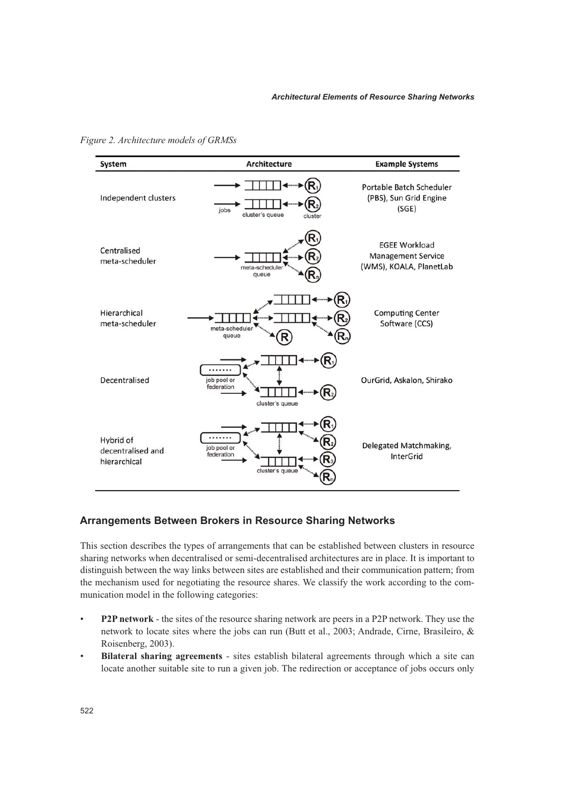| System                                         | <b>Architecture</b>                          | <b>Example Systems</b>                                                       |
|------------------------------------------------|----------------------------------------------|------------------------------------------------------------------------------|
| Independent clusters                           | jobs<br>cluster's queue<br>cluster           | Portable Batch Scheduler<br>(PBS), Sun Grid Engine<br>(SGE)                  |
| Centralised<br>meta-scheduler                  | meta-scheduler<br>queue                      | <b>EGEE Workload</b><br><b>Management Service</b><br>(WMS), KOALA, PlanetLab |
| Hierarchical<br>meta-scheduler                 | meta-scheduler<br>queue                      | <b>Computing Center</b><br>Software (CCS)                                    |
| Decentralised                                  | job pool or<br>federation<br>cluster's queue | OurGrid, Askalon, Shirako                                                    |
| Hybrid of<br>decentralised and<br>hierarchical | job pool or<br>federation<br>cluster's queue | Delegated Matchmaking,<br><b>InterGrid</b>                                   |

*Figure 2. Architecture models of GRMSs*

# **Arrangements Between Brokers in Resource Sharing Networks**

This section describes the types of arrangements that can be established between clusters in resource sharing networks when decentralised or semi-decentralised architectures are in place. It is important to distinguish between the way links between sites are established and their communication pattern; from the mechanism used for negotiating the resource shares. We classify the work according to the communication model in the following categories:

- **P2P network** the sites of the resource sharing network are peers in a P2P network. They use the network to locate sites where the jobs can run (Butt et al., 2003; Andrade, Cirne, Brasileiro, & Roisenberg, 2003).
- **Bilateral sharing agreements** sites establish bilateral agreements through which a site can locate another suitable site to run a given job. The redirection or acceptance of jobs occurs only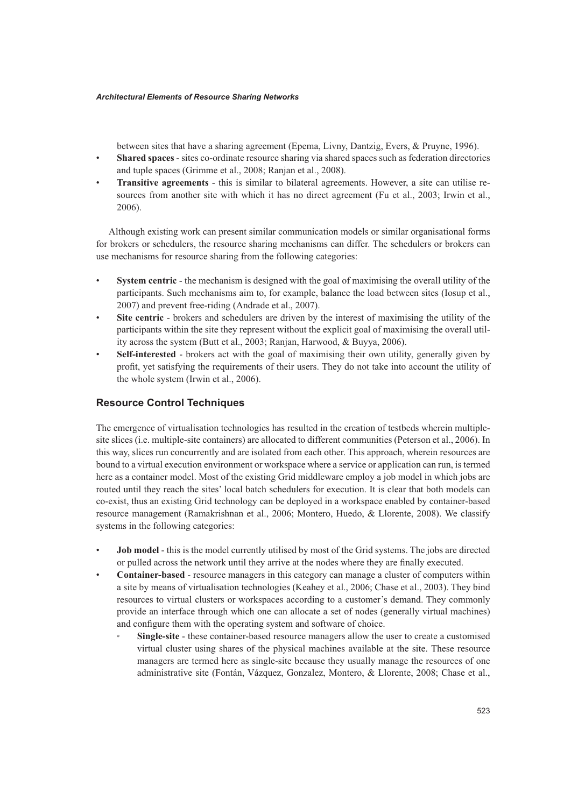between sites that have a sharing agreement (Epema, Livny, Dantzig, Evers, & Pruyne, 1996).

- **Shared spaces** sites co-ordinate resource sharing via shared spaces such as federation directories and tuple spaces (Grimme et al., 2008; Ranjan et al., 2008).
- **Transitive agreements** this is similar to bilateral agreements. However, a site can utilise resources from another site with which it has no direct agreement (Fu et al., 2003; Irwin et al., 2006).

Although existing work can present similar communication models or similar organisational forms for brokers or schedulers, the resource sharing mechanisms can differ. The schedulers or brokers can use mechanisms for resource sharing from the following categories:

- **System centric** the mechanism is designed with the goal of maximising the overall utility of the participants. Such mechanisms aim to, for example, balance the load between sites (Iosup et al., 2007) and prevent free-riding (Andrade et al., 2007).
- **Site centric** brokers and schedulers are driven by the interest of maximising the utility of the participants within the site they represent without the explicit goal of maximising the overall utility across the system (Butt et al., 2003; Ranjan, Harwood, & Buyya, 2006).
- **Self-interested** brokers act with the goal of maximising their own utility, generally given by profit, yet satisfying the requirements of their users. They do not take into account the utility of the whole system (Irwin et al., 2006).

# **Resource Control Techniques**

The emergence of virtualisation technologies has resulted in the creation of testbeds wherein multiplesite slices (i.e. multiple-site containers) are allocated to different communities (Peterson et al., 2006). In this way, slices run concurrently and are isolated from each other. This approach, wherein resources are bound to a virtual execution environment or workspace where a service or application can run, is termed here as a container model. Most of the existing Grid middleware employ a job model in which jobs are routed until they reach the sites' local batch schedulers for execution. It is clear that both models can co-exist, thus an existing Grid technology can be deployed in a workspace enabled by container-based resource management (Ramakrishnan et al., 2006; Montero, Huedo, & Llorente, 2008). We classify systems in the following categories:

- **Job model** this is the model currently utilised by most of the Grid systems. The jobs are directed or pulled across the network until they arrive at the nodes where they are finally executed.
- **Container-based** resource managers in this category can manage a cluster of computers within a site by means of virtualisation technologies (Keahey et al., 2006; Chase et al., 2003). They bind resources to virtual clusters or workspaces according to a customer's demand. They commonly provide an interface through which one can allocate a set of nodes (generally virtual machines) and configure them with the operating system and software of choice.
	- **Single-site** these container-based resource managers allow the user to create a customised virtual cluster using shares of the physical machines available at the site. These resource managers are termed here as single-site because they usually manage the resources of one administrative site (Fontán, Vázquez, Gonzalez, Montero, & Llorente, 2008; Chase et al.,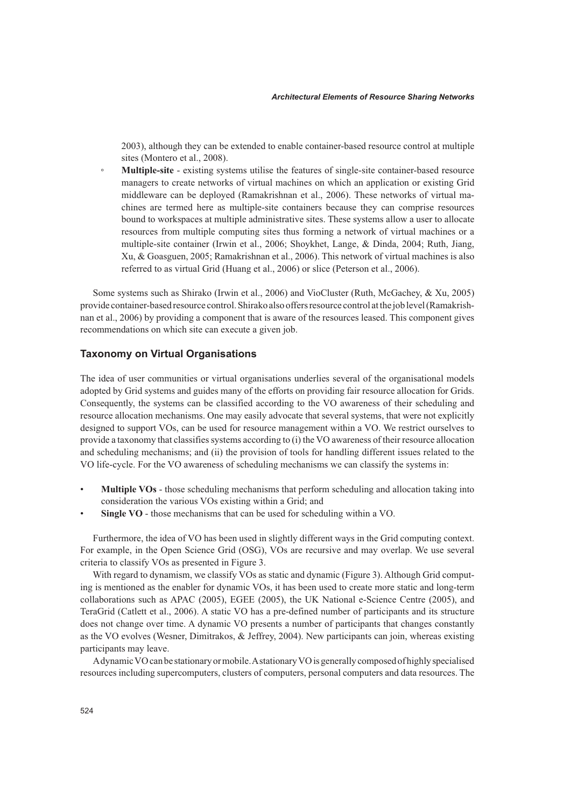2003), although they can be extended to enable container-based resource control at multiple sites (Montero et al., 2008).

◦ **Multiple-site** - existing systems utilise the features of single-site container-based resource managers to create networks of virtual machines on which an application or existing Grid middleware can be deployed (Ramakrishnan et al., 2006). These networks of virtual machines are termed here as multiple-site containers because they can comprise resources bound to workspaces at multiple administrative sites. These systems allow a user to allocate resources from multiple computing sites thus forming a network of virtual machines or a multiple-site container (Irwin et al., 2006; Shoykhet, Lange, & Dinda, 2004; Ruth, Jiang, Xu, & Goasguen, 2005; Ramakrishnan et al., 2006). This network of virtual machines is also referred to as virtual Grid (Huang et al., 2006) or slice (Peterson et al., 2006).

Some systems such as Shirako (Irwin et al., 2006) and VioCluster (Ruth, McGachey, & Xu, 2005) provide container-based resource control. Shirako also offers resource control at the job level (Ramakrishnan et al., 2006) by providing a component that is aware of the resources leased. This component gives recommendations on which site can execute a given job.

## **Taxonomy on Virtual Organisations**

The idea of user communities or virtual organisations underlies several of the organisational models adopted by Grid systems and guides many of the efforts on providing fair resource allocation for Grids. Consequently, the systems can be classified according to the VO awareness of their scheduling and resource allocation mechanisms. One may easily advocate that several systems, that were not explicitly designed to support VOs, can be used for resource management within a VO. We restrict ourselves to provide a taxonomy that classifies systems according to (i) the VO awareness of their resource allocation and scheduling mechanisms; and (ii) the provision of tools for handling different issues related to the VO life-cycle. For the VO awareness of scheduling mechanisms we can classify the systems in:

- **Multiple VOs** those scheduling mechanisms that perform scheduling and allocation taking into consideration the various VOs existing within a Grid; and
- **Single VO** those mechanisms that can be used for scheduling within a VO.

Furthermore, the idea of VO has been used in slightly different ways in the Grid computing context. For example, in the Open Science Grid (OSG), VOs are recursive and may overlap. We use several criteria to classify VOs as presented in Figure 3.

With regard to dynamism, we classify VOs as static and dynamic (Figure 3). Although Grid computing is mentioned as the enabler for dynamic VOs, it has been used to create more static and long-term collaborations such as APAC (2005), EGEE (2005), the UK National e-Science Centre (2005), and TeraGrid (Catlett et al., 2006). A static VO has a pre-defined number of participants and its structure does not change over time. A dynamic VO presents a number of participants that changes constantly as the VO evolves (Wesner, Dimitrakos, & Jeffrey, 2004). New participants can join, whereas existing participants may leave.

A dynamic VO can be stationary or mobile. A stationary VO is generally composed of highly specialised resources including supercomputers, clusters of computers, personal computers and data resources. The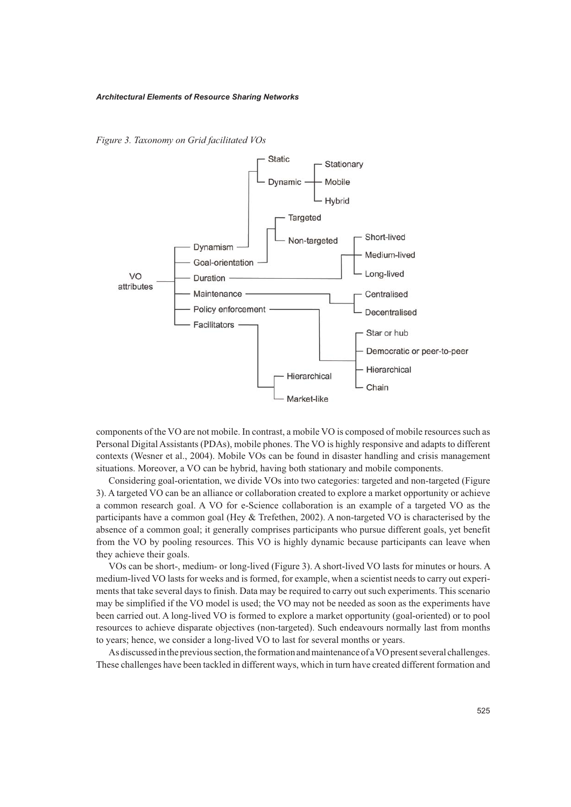

*Figure 3. Taxonomy on Grid facilitated VOs*

components of the VO are not mobile. In contrast, a mobile VO is composed of mobile resources such as Personal Digital Assistants (PDAs), mobile phones. The VO is highly responsive and adapts to different contexts (Wesner et al., 2004). Mobile VOs can be found in disaster handling and crisis management situations. Moreover, a VO can be hybrid, having both stationary and mobile components.

Considering goal-orientation, we divide VOs into two categories: targeted and non-targeted (Figure 3). A targeted VO can be an alliance or collaboration created to explore a market opportunity or achieve a common research goal. A VO for e-Science collaboration is an example of a targeted VO as the participants have a common goal (Hey & Trefethen, 2002). A non-targeted VO is characterised by the absence of a common goal; it generally comprises participants who pursue different goals, yet benefit from the VO by pooling resources. This VO is highly dynamic because participants can leave when they achieve their goals.

VOs can be short-, medium- or long-lived (Figure 3). A short-lived VO lasts for minutes or hours. A medium-lived VO lasts for weeks and is formed, for example, when a scientist needs to carry out experiments that take several days to finish. Data may be required to carry out such experiments. This scenario may be simplified if the VO model is used; the VO may not be needed as soon as the experiments have been carried out. A long-lived VO is formed to explore a market opportunity (goal-oriented) or to pool resources to achieve disparate objectives (non-targeted). Such endeavours normally last from months to years; hence, we consider a long-lived VO to last for several months or years.

As discussed in the previous section, the formation and maintenance of a VO present several challenges. These challenges have been tackled in different ways, which in turn have created different formation and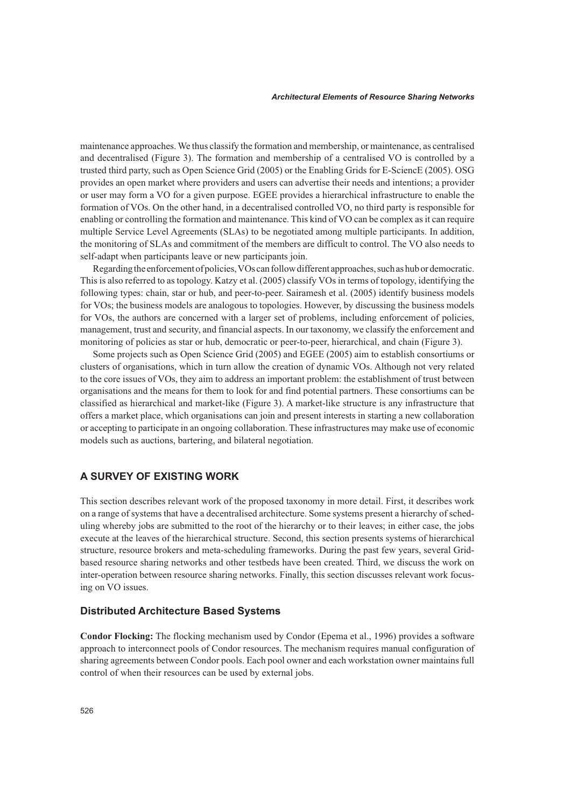maintenance approaches. We thus classify the formation and membership, or maintenance, as centralised and decentralised (Figure 3). The formation and membership of a centralised VO is controlled by a trusted third party, such as Open Science Grid (2005) or the Enabling Grids for E-SciencE (2005). OSG provides an open market where providers and users can advertise their needs and intentions; a provider or user may form a VO for a given purpose. EGEE provides a hierarchical infrastructure to enable the formation of VOs. On the other hand, in a decentralised controlled VO, no third party is responsible for enabling or controlling the formation and maintenance. This kind of VO can be complex as it can require multiple Service Level Agreements (SLAs) to be negotiated among multiple participants. In addition, the monitoring of SLAs and commitment of the members are difficult to control. The VO also needs to self-adapt when participants leave or new participants join.

Regarding the enforcement of policies, VOs can follow different approaches, such as hub or democratic. This is also referred to as topology. Katzy et al. (2005) classify VOs in terms of topology, identifying the following types: chain, star or hub, and peer-to-peer. Sairamesh et al. (2005) identify business models for VOs; the business models are analogous to topologies. However, by discussing the business models for VOs, the authors are concerned with a larger set of problems, including enforcement of policies, management, trust and security, and financial aspects. In our taxonomy, we classify the enforcement and monitoring of policies as star or hub, democratic or peer-to-peer, hierarchical, and chain (Figure 3).

Some projects such as Open Science Grid (2005) and EGEE (2005) aim to establish consortiums or clusters of organisations, which in turn allow the creation of dynamic VOs. Although not very related to the core issues of VOs, they aim to address an important problem: the establishment of trust between organisations and the means for them to look for and find potential partners. These consortiums can be classified as hierarchical and market-like (Figure 3). A market-like structure is any infrastructure that offers a market place, which organisations can join and present interests in starting a new collaboration or accepting to participate in an ongoing collaboration. These infrastructures may make use of economic models such as auctions, bartering, and bilateral negotiation.

# **A SURVEY OF EXISTING WORK**

This section describes relevant work of the proposed taxonomy in more detail. First, it describes work on a range of systems that have a decentralised architecture. Some systems present a hierarchy of scheduling whereby jobs are submitted to the root of the hierarchy or to their leaves; in either case, the jobs execute at the leaves of the hierarchical structure. Second, this section presents systems of hierarchical structure, resource brokers and meta-scheduling frameworks. During the past few years, several Gridbased resource sharing networks and other testbeds have been created. Third, we discuss the work on inter-operation between resource sharing networks. Finally, this section discusses relevant work focusing on VO issues.

## **Distributed Architecture Based Systems**

**Condor Flocking:** The flocking mechanism used by Condor (Epema et al., 1996) provides a software approach to interconnect pools of Condor resources. The mechanism requires manual configuration of sharing agreements between Condor pools. Each pool owner and each workstation owner maintains full control of when their resources can be used by external jobs.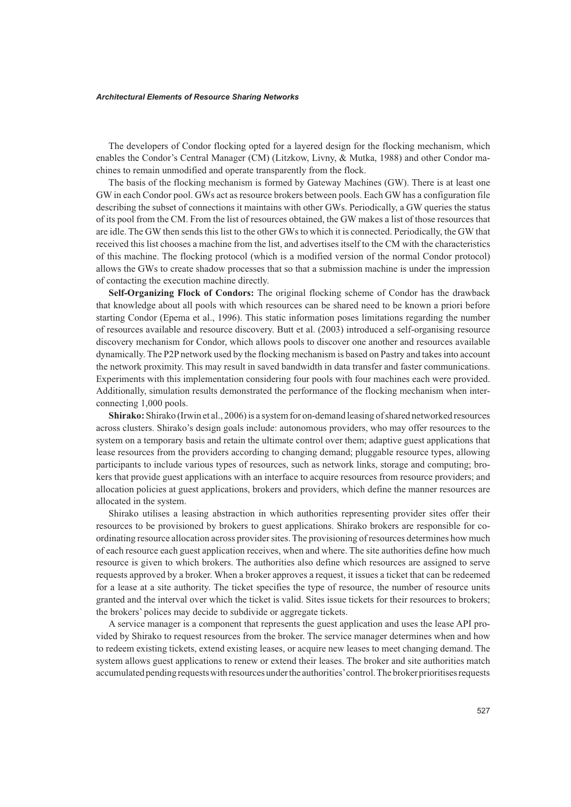The developers of Condor flocking opted for a layered design for the flocking mechanism, which enables the Condor's Central Manager (CM) (Litzkow, Livny, & Mutka, 1988) and other Condor machines to remain unmodified and operate transparently from the flock.

The basis of the flocking mechanism is formed by Gateway Machines (GW). There is at least one GW in each Condor pool. GWs act as resource brokers between pools. Each GW has a configuration file describing the subset of connections it maintains with other GWs. Periodically, a GW queries the status of its pool from the CM. From the list of resources obtained, the GW makes a list of those resources that are idle. The GW then sends this list to the other GWs to which it is connected. Periodically, the GW that received this list chooses a machine from the list, and advertises itself to the CM with the characteristics of this machine. The flocking protocol (which is a modified version of the normal Condor protocol) allows the GWs to create shadow processes that so that a submission machine is under the impression of contacting the execution machine directly.

**Self-Organizing Flock of Condors:** The original flocking scheme of Condor has the drawback that knowledge about all pools with which resources can be shared need to be known a priori before starting Condor (Epema et al., 1996). This static information poses limitations regarding the number of resources available and resource discovery. Butt et al. (2003) introduced a self-organising resource discovery mechanism for Condor, which allows pools to discover one another and resources available dynamically. The P2P network used by the flocking mechanism is based on Pastry and takes into account the network proximity. This may result in saved bandwidth in data transfer and faster communications. Experiments with this implementation considering four pools with four machines each were provided. Additionally, simulation results demonstrated the performance of the flocking mechanism when interconnecting 1,000 pools.

**Shirako:** Shirako (Irwin et al., 2006) is a system for on-demand leasing of shared networked resources across clusters. Shirako's design goals include: autonomous providers, who may offer resources to the system on a temporary basis and retain the ultimate control over them; adaptive guest applications that lease resources from the providers according to changing demand; pluggable resource types, allowing participants to include various types of resources, such as network links, storage and computing; brokers that provide guest applications with an interface to acquire resources from resource providers; and allocation policies at guest applications, brokers and providers, which define the manner resources are allocated in the system.

Shirako utilises a leasing abstraction in which authorities representing provider sites offer their resources to be provisioned by brokers to guest applications. Shirako brokers are responsible for coordinating resource allocation across provider sites. The provisioning of resources determines how much of each resource each guest application receives, when and where. The site authorities define how much resource is given to which brokers. The authorities also define which resources are assigned to serve requests approved by a broker. When a broker approves a request, it issues a ticket that can be redeemed for a lease at a site authority. The ticket specifies the type of resource, the number of resource units granted and the interval over which the ticket is valid. Sites issue tickets for their resources to brokers; the brokers' polices may decide to subdivide or aggregate tickets.

A service manager is a component that represents the guest application and uses the lease API provided by Shirako to request resources from the broker. The service manager determines when and how to redeem existing tickets, extend existing leases, or acquire new leases to meet changing demand. The system allows guest applications to renew or extend their leases. The broker and site authorities match accumulated pending requests with resources under the authorities' control. The broker prioritises requests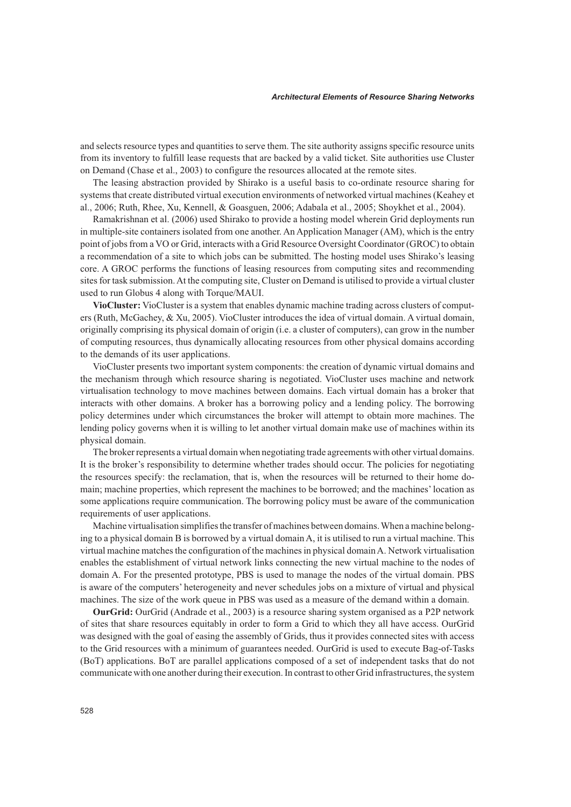and selects resource types and quantities to serve them. The site authority assigns specific resource units from its inventory to fulfill lease requests that are backed by a valid ticket. Site authorities use Cluster on Demand (Chase et al., 2003) to configure the resources allocated at the remote sites.

The leasing abstraction provided by Shirako is a useful basis to co-ordinate resource sharing for systems that create distributed virtual execution environments of networked virtual machines (Keahey et al., 2006; Ruth, Rhee, Xu, Kennell, & Goasguen, 2006; Adabala et al., 2005; Shoykhet et al., 2004).

Ramakrishnan et al. (2006) used Shirako to provide a hosting model wherein Grid deployments run in multiple-site containers isolated from one another. An Application Manager (AM), which is the entry point of jobs from a VO or Grid, interacts with a Grid Resource Oversight Coordinator (GROC) to obtain a recommendation of a site to which jobs can be submitted. The hosting model uses Shirako's leasing core. A GROC performs the functions of leasing resources from computing sites and recommending sites for task submission. At the computing site, Cluster on Demand is utilised to provide a virtual cluster used to run Globus 4 along with Torque/MAUI.

**VioCluster:** VioCluster is a system that enables dynamic machine trading across clusters of computers (Ruth, McGachey, & Xu, 2005). VioCluster introduces the idea of virtual domain. A virtual domain, originally comprising its physical domain of origin (i.e. a cluster of computers), can grow in the number of computing resources, thus dynamically allocating resources from other physical domains according to the demands of its user applications.

VioCluster presents two important system components: the creation of dynamic virtual domains and the mechanism through which resource sharing is negotiated. VioCluster uses machine and network virtualisation technology to move machines between domains. Each virtual domain has a broker that interacts with other domains. A broker has a borrowing policy and a lending policy. The borrowing policy determines under which circumstances the broker will attempt to obtain more machines. The lending policy governs when it is willing to let another virtual domain make use of machines within its physical domain.

The broker represents a virtual domain when negotiating trade agreements with other virtual domains. It is the broker's responsibility to determine whether trades should occur. The policies for negotiating the resources specify: the reclamation, that is, when the resources will be returned to their home domain; machine properties, which represent the machines to be borrowed; and the machines' location as some applications require communication. The borrowing policy must be aware of the communication requirements of user applications.

Machine virtualisation simplifies the transfer of machines between domains. When a machine belonging to a physical domain B is borrowed by a virtual domain A, it is utilised to run a virtual machine. This virtual machine matches the configuration of the machines in physical domain A. Network virtualisation enables the establishment of virtual network links connecting the new virtual machine to the nodes of domain A. For the presented prototype, PBS is used to manage the nodes of the virtual domain. PBS is aware of the computers' heterogeneity and never schedules jobs on a mixture of virtual and physical machines. The size of the work queue in PBS was used as a measure of the demand within a domain.

**OurGrid:** OurGrid (Andrade et al., 2003) is a resource sharing system organised as a P2P network of sites that share resources equitably in order to form a Grid to which they all have access. OurGrid was designed with the goal of easing the assembly of Grids, thus it provides connected sites with access to the Grid resources with a minimum of guarantees needed. OurGrid is used to execute Bag-of-Tasks (BoT) applications. BoT are parallel applications composed of a set of independent tasks that do not communicate with one another during their execution. In contrast to other Grid infrastructures, the system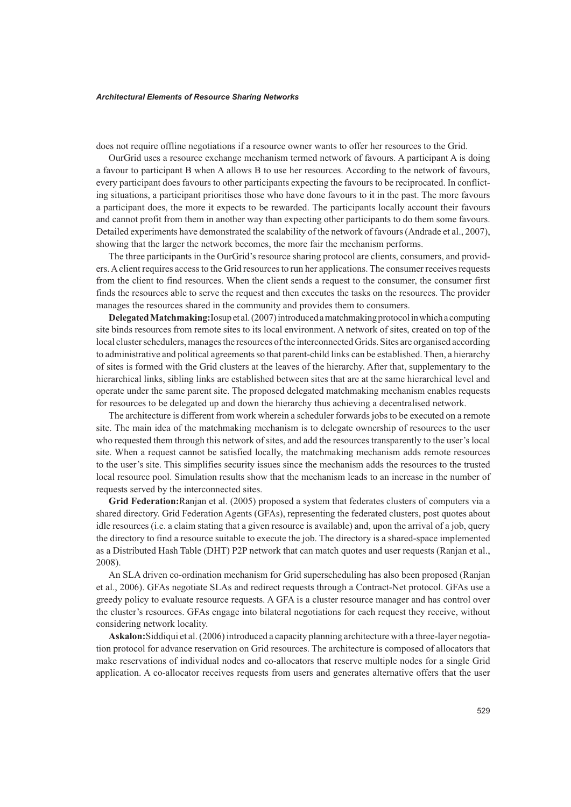does not require offline negotiations if a resource owner wants to offer her resources to the Grid.

OurGrid uses a resource exchange mechanism termed network of favours. A participant A is doing a favour to participant B when A allows B to use her resources. According to the network of favours, every participant does favours to other participants expecting the favours to be reciprocated. In conflicting situations, a participant prioritises those who have done favours to it in the past. The more favours a participant does, the more it expects to be rewarded. The participants locally account their favours and cannot profit from them in another way than expecting other participants to do them some favours. Detailed experiments have demonstrated the scalability of the network of favours (Andrade et al., 2007), showing that the larger the network becomes, the more fair the mechanism performs.

The three participants in the OurGrid's resource sharing protocol are clients, consumers, and providers. A client requires access to the Grid resources to run her applications. The consumer receives requests from the client to find resources. When the client sends a request to the consumer, the consumer first finds the resources able to serve the request and then executes the tasks on the resources. The provider manages the resources shared in the community and provides them to consumers.

**Delegated Matchmaking:**Iosup et al. (2007) introduced a matchmaking protocol in which a computing site binds resources from remote sites to its local environment. A network of sites, created on top of the local cluster schedulers, manages the resources of the interconnected Grids. Sites are organised according to administrative and political agreements so that parent-child links can be established. Then, a hierarchy of sites is formed with the Grid clusters at the leaves of the hierarchy. After that, supplementary to the hierarchical links, sibling links are established between sites that are at the same hierarchical level and operate under the same parent site. The proposed delegated matchmaking mechanism enables requests for resources to be delegated up and down the hierarchy thus achieving a decentralised network.

The architecture is different from work wherein a scheduler forwards jobs to be executed on a remote site. The main idea of the matchmaking mechanism is to delegate ownership of resources to the user who requested them through this network of sites, and add the resources transparently to the user's local site. When a request cannot be satisfied locally, the matchmaking mechanism adds remote resources to the user's site. This simplifies security issues since the mechanism adds the resources to the trusted local resource pool. Simulation results show that the mechanism leads to an increase in the number of requests served by the interconnected sites.

**Grid Federation:**Ranjan et al. (2005) proposed a system that federates clusters of computers via a shared directory. Grid Federation Agents (GFAs), representing the federated clusters, post quotes about idle resources (i.e. a claim stating that a given resource is available) and, upon the arrival of a job, query the directory to find a resource suitable to execute the job. The directory is a shared-space implemented as a Distributed Hash Table (DHT) P2P network that can match quotes and user requests (Ranjan et al., 2008).

An SLA driven co-ordination mechanism for Grid superscheduling has also been proposed (Ranjan et al., 2006). GFAs negotiate SLAs and redirect requests through a Contract-Net protocol. GFAs use a greedy policy to evaluate resource requests. A GFA is a cluster resource manager and has control over the cluster's resources. GFAs engage into bilateral negotiations for each request they receive, without considering network locality.

**Askalon:**Siddiqui et al. (2006) introduced a capacity planning architecture with a three-layer negotiation protocol for advance reservation on Grid resources. The architecture is composed of allocators that make reservations of individual nodes and co-allocators that reserve multiple nodes for a single Grid application. A co-allocator receives requests from users and generates alternative offers that the user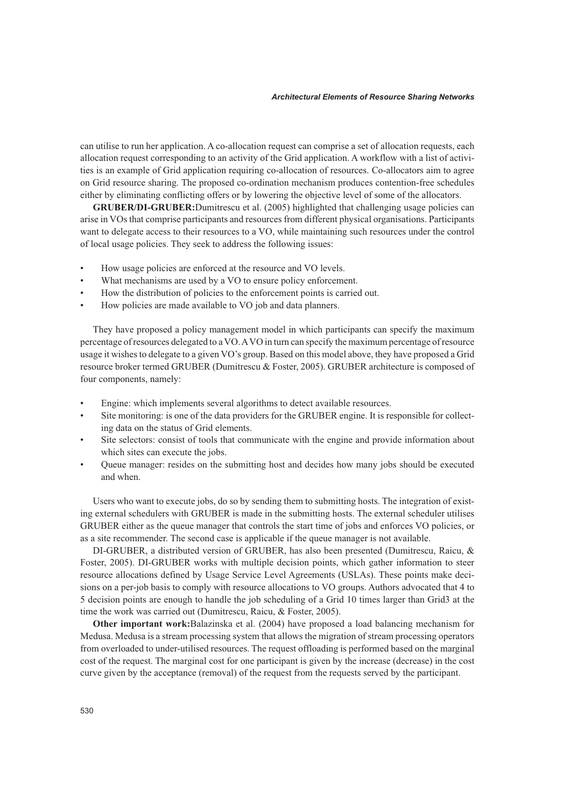can utilise to run her application. A co-allocation request can comprise a set of allocation requests, each allocation request corresponding to an activity of the Grid application. A workflow with a list of activities is an example of Grid application requiring co-allocation of resources. Co-allocators aim to agree on Grid resource sharing. The proposed co-ordination mechanism produces contention-free schedules either by eliminating conflicting offers or by lowering the objective level of some of the allocators.

**GRUBER/DI-GRUBER:**Dumitrescu et al. (2005) highlighted that challenging usage policies can arise in VOs that comprise participants and resources from different physical organisations. Participants want to delegate access to their resources to a VO, while maintaining such resources under the control of local usage policies. They seek to address the following issues:

- How usage policies are enforced at the resource and VO levels.
- What mechanisms are used by a VO to ensure policy enforcement.
- How the distribution of policies to the enforcement points is carried out.
- How policies are made available to VO job and data planners.

They have proposed a policy management model in which participants can specify the maximum percentage of resources delegated to a VO. A VO in turn can specify the maximum percentage of resource usage it wishes to delegate to a given VO's group. Based on this model above, they have proposed a Grid resource broker termed GRUBER (Dumitrescu & Foster, 2005). GRUBER architecture is composed of four components, namely:

- Engine: which implements several algorithms to detect available resources.
- Site monitoring: is one of the data providers for the GRUBER engine. It is responsible for collecting data on the status of Grid elements.
- Site selectors: consist of tools that communicate with the engine and provide information about which sites can execute the jobs.
- Queue manager: resides on the submitting host and decides how many jobs should be executed and when.

Users who want to execute jobs, do so by sending them to submitting hosts. The integration of existing external schedulers with GRUBER is made in the submitting hosts. The external scheduler utilises GRUBER either as the queue manager that controls the start time of jobs and enforces VO policies, or as a site recommender. The second case is applicable if the queue manager is not available.

DI-GRUBER, a distributed version of GRUBER, has also been presented (Dumitrescu, Raicu, & Foster, 2005). DI-GRUBER works with multiple decision points, which gather information to steer resource allocations defined by Usage Service Level Agreements (USLAs). These points make decisions on a per-job basis to comply with resource allocations to VO groups. Authors advocated that 4 to 5 decision points are enough to handle the job scheduling of a Grid 10 times larger than Grid3 at the time the work was carried out (Dumitrescu, Raicu, & Foster, 2005).

**Other important work:**Balazinska et al. (2004) have proposed a load balancing mechanism for Medusa. Medusa is a stream processing system that allows the migration of stream processing operators from overloaded to under-utilised resources. The request offloading is performed based on the marginal cost of the request. The marginal cost for one participant is given by the increase (decrease) in the cost curve given by the acceptance (removal) of the request from the requests served by the participant.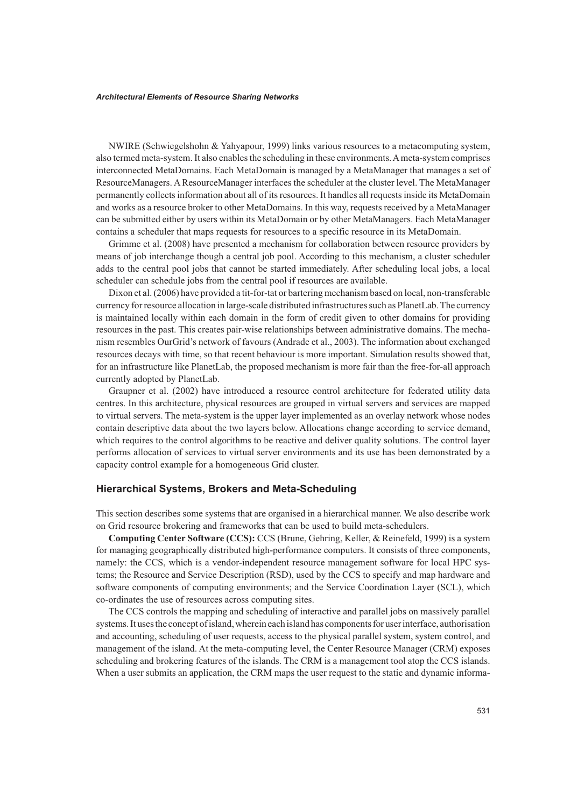NWIRE (Schwiegelshohn & Yahyapour, 1999) links various resources to a metacomputing system, also termed meta-system. It also enables the scheduling in these environments. A meta-system comprises interconnected MetaDomains. Each MetaDomain is managed by a MetaManager that manages a set of ResourceManagers. A ResourceManager interfaces the scheduler at the cluster level. The MetaManager permanently collects information about all of its resources. It handles all requests inside its MetaDomain and works as a resource broker to other MetaDomains. In this way, requests received by a MetaManager can be submitted either by users within its MetaDomain or by other MetaManagers. Each MetaManager contains a scheduler that maps requests for resources to a specific resource in its MetaDomain.

Grimme et al. (2008) have presented a mechanism for collaboration between resource providers by means of job interchange though a central job pool. According to this mechanism, a cluster scheduler adds to the central pool jobs that cannot be started immediately. After scheduling local jobs, a local scheduler can schedule jobs from the central pool if resources are available.

Dixon et al. (2006) have provided a tit-for-tat or bartering mechanism based on local, non-transferable currency for resource allocation in large-scale distributed infrastructures such as PlanetLab. The currency is maintained locally within each domain in the form of credit given to other domains for providing resources in the past. This creates pair-wise relationships between administrative domains. The mechanism resembles OurGrid's network of favours (Andrade et al., 2003). The information about exchanged resources decays with time, so that recent behaviour is more important. Simulation results showed that, for an infrastructure like PlanetLab, the proposed mechanism is more fair than the free-for-all approach currently adopted by PlanetLab.

Graupner et al. (2002) have introduced a resource control architecture for federated utility data centres. In this architecture, physical resources are grouped in virtual servers and services are mapped to virtual servers. The meta-system is the upper layer implemented as an overlay network whose nodes contain descriptive data about the two layers below. Allocations change according to service demand, which requires to the control algorithms to be reactive and deliver quality solutions. The control layer performs allocation of services to virtual server environments and its use has been demonstrated by a capacity control example for a homogeneous Grid cluster.

## **Hierarchical Systems, Brokers and Meta-Scheduling**

This section describes some systems that are organised in a hierarchical manner. We also describe work on Grid resource brokering and frameworks that can be used to build meta-schedulers.

**Computing Center Software (CCS):** CCS (Brune, Gehring, Keller, & Reinefeld, 1999) is a system for managing geographically distributed high-performance computers. It consists of three components, namely: the CCS, which is a vendor-independent resource management software for local HPC systems; the Resource and Service Description (RSD), used by the CCS to specify and map hardware and software components of computing environments; and the Service Coordination Layer (SCL), which co-ordinates the use of resources across computing sites.

The CCS controls the mapping and scheduling of interactive and parallel jobs on massively parallel systems. It uses the concept of island, wherein each island has components for user interface, authorisation and accounting, scheduling of user requests, access to the physical parallel system, system control, and management of the island. At the meta-computing level, the Center Resource Manager (CRM) exposes scheduling and brokering features of the islands. The CRM is a management tool atop the CCS islands. When a user submits an application, the CRM maps the user request to the static and dynamic informa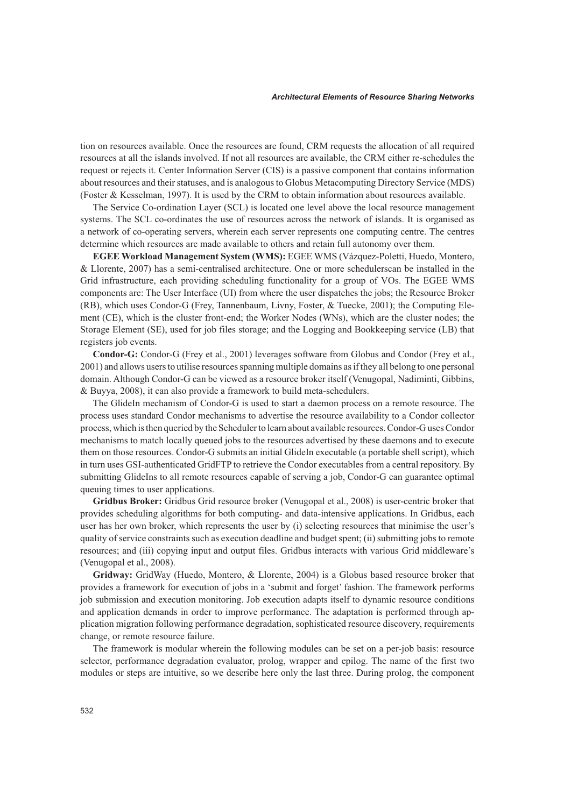tion on resources available. Once the resources are found, CRM requests the allocation of all required resources at all the islands involved. If not all resources are available, the CRM either re-schedules the request or rejects it. Center Information Server (CIS) is a passive component that contains information about resources and their statuses, and is analogous to Globus Metacomputing Directory Service (MDS) (Foster & Kesselman, 1997). It is used by the CRM to obtain information about resources available.

The Service Co-ordination Layer (SCL) is located one level above the local resource management systems. The SCL co-ordinates the use of resources across the network of islands. It is organised as a network of co-operating servers, wherein each server represents one computing centre. The centres determine which resources are made available to others and retain full autonomy over them.

**EGEE Workload Management System (WMS):** EGEE WMS (Vázquez-Poletti, Huedo, Montero, & Llorente, 2007) has a semi-centralised architecture. One or more schedulerscan be installed in the Grid infrastructure, each providing scheduling functionality for a group of VOs. The EGEE WMS components are: The User Interface (UI) from where the user dispatches the jobs; the Resource Broker (RB), which uses Condor-G (Frey, Tannenbaum, Livny, Foster, & Tuecke, 2001); the Computing Element (CE), which is the cluster front-end; the Worker Nodes (WNs), which are the cluster nodes; the Storage Element (SE), used for job files storage; and the Logging and Bookkeeping service (LB) that registers job events.

**Condor-G:** Condor-G (Frey et al., 2001) leverages software from Globus and Condor (Frey et al., 2001) and allows users to utilise resources spanning multiple domains as if they all belong to one personal domain. Although Condor-G can be viewed as a resource broker itself (Venugopal, Nadiminti, Gibbins, & Buyya, 2008), it can also provide a framework to build meta-schedulers.

The GlideIn mechanism of Condor-G is used to start a daemon process on a remote resource. The process uses standard Condor mechanisms to advertise the resource availability to a Condor collector process, which is then queried by the Scheduler to learn about available resources. Condor-G uses Condor mechanisms to match locally queued jobs to the resources advertised by these daemons and to execute them on those resources. Condor-G submits an initial GlideIn executable (a portable shell script), which in turn uses GSI-authenticated GridFTP to retrieve the Condor executables from a central repository. By submitting GlideIns to all remote resources capable of serving a job, Condor-G can guarantee optimal queuing times to user applications.

**Gridbus Broker:** Gridbus Grid resource broker (Venugopal et al., 2008) is user-centric broker that provides scheduling algorithms for both computing- and data-intensive applications. In Gridbus, each user has her own broker, which represents the user by (i) selecting resources that minimise the user's quality of service constraints such as execution deadline and budget spent; (ii) submitting jobs to remote resources; and (iii) copying input and output files. Gridbus interacts with various Grid middleware's (Venugopal et al., 2008).

**Gridway:** GridWay (Huedo, Montero, & Llorente, 2004) is a Globus based resource broker that provides a framework for execution of jobs in a 'submit and forget' fashion. The framework performs job submission and execution monitoring. Job execution adapts itself to dynamic resource conditions and application demands in order to improve performance. The adaptation is performed through application migration following performance degradation, sophisticated resource discovery, requirements change, or remote resource failure.

The framework is modular wherein the following modules can be set on a per-job basis: resource selector, performance degradation evaluator, prolog, wrapper and epilog. The name of the first two modules or steps are intuitive, so we describe here only the last three. During prolog, the component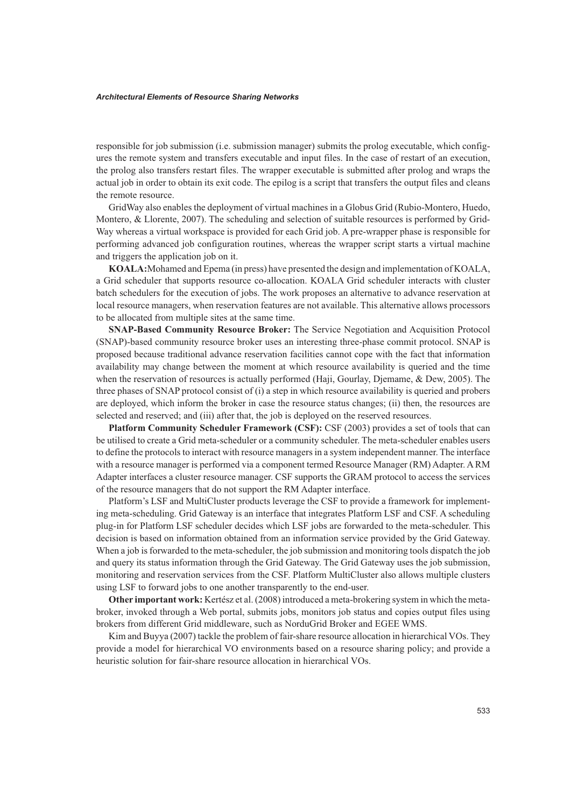responsible for job submission (i.e. submission manager) submits the prolog executable, which configures the remote system and transfers executable and input files. In the case of restart of an execution, the prolog also transfers restart files. The wrapper executable is submitted after prolog and wraps the actual job in order to obtain its exit code. The epilog is a script that transfers the output files and cleans the remote resource.

GridWay also enables the deployment of virtual machines in a Globus Grid (Rubio-Montero, Huedo, Montero, & Llorente, 2007). The scheduling and selection of suitable resources is performed by Grid-Way whereas a virtual workspace is provided for each Grid job. A pre-wrapper phase is responsible for performing advanced job configuration routines, whereas the wrapper script starts a virtual machine and triggers the application job on it.

**KOALA:**Mohamed and Epema (in press) have presented the design and implementation of KOALA, a Grid scheduler that supports resource co-allocation. KOALA Grid scheduler interacts with cluster batch schedulers for the execution of jobs. The work proposes an alternative to advance reservation at local resource managers, when reservation features are not available. This alternative allows processors to be allocated from multiple sites at the same time.

**SNAP-Based Community Resource Broker:** The Service Negotiation and Acquisition Protocol (SNAP)-based community resource broker uses an interesting three-phase commit protocol. SNAP is proposed because traditional advance reservation facilities cannot cope with the fact that information availability may change between the moment at which resource availability is queried and the time when the reservation of resources is actually performed (Haji, Gourlay, Djemame, & Dew, 2005). The three phases of SNAP protocol consist of (i) a step in which resource availability is queried and probers are deployed, which inform the broker in case the resource status changes; (ii) then, the resources are selected and reserved; and (iii) after that, the job is deployed on the reserved resources.

**Platform Community Scheduler Framework (CSF):** CSF (2003) provides a set of tools that can be utilised to create a Grid meta-scheduler or a community scheduler. The meta-scheduler enables users to define the protocols to interact with resource managers in a system independent manner. The interface with a resource manager is performed via a component termed Resource Manager (RM) Adapter. A RM Adapter interfaces a cluster resource manager. CSF supports the GRAM protocol to access the services of the resource managers that do not support the RM Adapter interface.

Platform's LSF and MultiCluster products leverage the CSF to provide a framework for implementing meta-scheduling. Grid Gateway is an interface that integrates Platform LSF and CSF. A scheduling plug-in for Platform LSF scheduler decides which LSF jobs are forwarded to the meta-scheduler. This decision is based on information obtained from an information service provided by the Grid Gateway. When a job is forwarded to the meta-scheduler, the job submission and monitoring tools dispatch the job and query its status information through the Grid Gateway. The Grid Gateway uses the job submission, monitoring and reservation services from the CSF. Platform MultiCluster also allows multiple clusters using LSF to forward jobs to one another transparently to the end-user.

**Other important work:** Kertész et al. (2008) introduced a meta-brokering system in which the metabroker, invoked through a Web portal, submits jobs, monitors job status and copies output files using brokers from different Grid middleware, such as NorduGrid Broker and EGEE WMS.

Kim and Buyya (2007) tackle the problem of fair-share resource allocation in hierarchical VOs. They provide a model for hierarchical VO environments based on a resource sharing policy; and provide a heuristic solution for fair-share resource allocation in hierarchical VOs.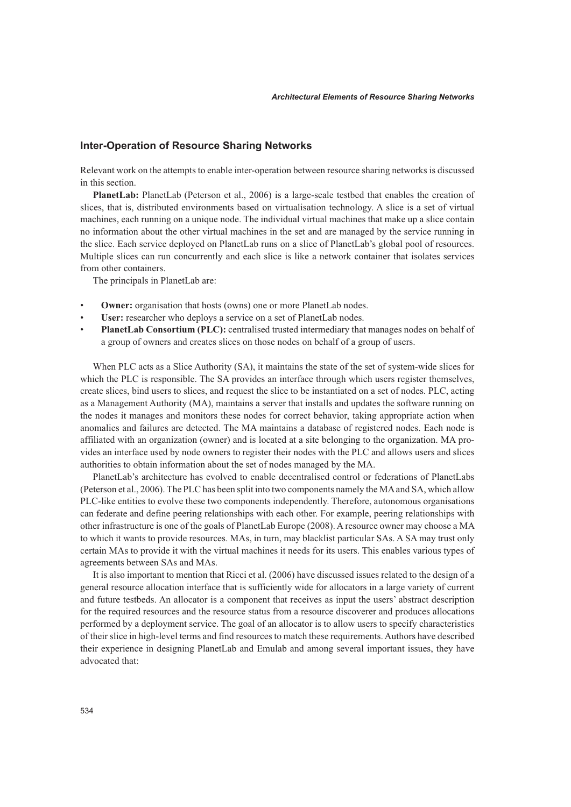## **Inter-Operation of Resource Sharing Networks**

Relevant work on the attempts to enable inter-operation between resource sharing networks is discussed in this section.

**PlanetLab:** PlanetLab (Peterson et al., 2006) is a large-scale testbed that enables the creation of slices, that is, distributed environments based on virtualisation technology. A slice is a set of virtual machines, each running on a unique node. The individual virtual machines that make up a slice contain no information about the other virtual machines in the set and are managed by the service running in the slice. Each service deployed on PlanetLab runs on a slice of PlanetLab's global pool of resources. Multiple slices can run concurrently and each slice is like a network container that isolates services from other containers.

The principals in PlanetLab are:

- **Owner:** organisation that hosts (owns) one or more PlanetLab nodes.
- User: researcher who deploys a service on a set of PlanetLab nodes.
- **PlanetLab Consortium (PLC):** centralised trusted intermediary that manages nodes on behalf of a group of owners and creates slices on those nodes on behalf of a group of users.

When PLC acts as a Slice Authority (SA), it maintains the state of the set of system-wide slices for which the PLC is responsible. The SA provides an interface through which users register themselves, create slices, bind users to slices, and request the slice to be instantiated on a set of nodes. PLC, acting as a Management Authority (MA), maintains a server that installs and updates the software running on the nodes it manages and monitors these nodes for correct behavior, taking appropriate action when anomalies and failures are detected. The MA maintains a database of registered nodes. Each node is affiliated with an organization (owner) and is located at a site belonging to the organization. MA provides an interface used by node owners to register their nodes with the PLC and allows users and slices authorities to obtain information about the set of nodes managed by the MA.

PlanetLab's architecture has evolved to enable decentralised control or federations of PlanetLabs (Peterson et al., 2006). The PLC has been split into two components namely the MA and SA, which allow PLC-like entities to evolve these two components independently. Therefore, autonomous organisations can federate and define peering relationships with each other. For example, peering relationships with other infrastructure is one of the goals of PlanetLab Europe (2008). A resource owner may choose a MA to which it wants to provide resources. MAs, in turn, may blacklist particular SAs. A SA may trust only certain MAs to provide it with the virtual machines it needs for its users. This enables various types of agreements between SAs and MAs.

It is also important to mention that Ricci et al. (2006) have discussed issues related to the design of a general resource allocation interface that is sufficiently wide for allocators in a large variety of current and future testbeds. An allocator is a component that receives as input the users' abstract description for the required resources and the resource status from a resource discoverer and produces allocations performed by a deployment service. The goal of an allocator is to allow users to specify characteristics of their slice in high-level terms and find resources to match these requirements. Authors have described their experience in designing PlanetLab and Emulab and among several important issues, they have advocated that: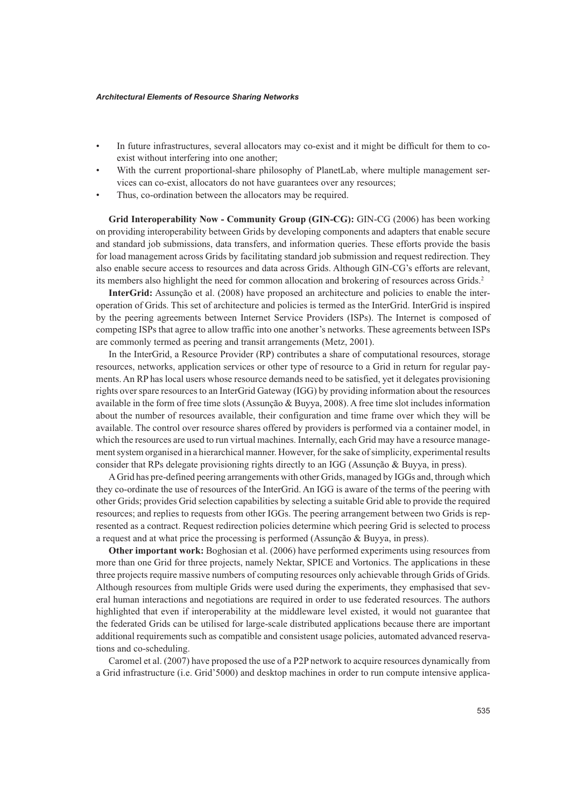- In future infrastructures, several allocators may co-exist and it might be difficult for them to coexist without interfering into one another;
- With the current proportional-share philosophy of PlanetLab, where multiple management services can co-exist, allocators do not have guarantees over any resources;
- Thus, co-ordination between the allocators may be required.

**Grid Interoperability Now - Community Group (GIN-CG):** GIN-CG (2006) has been working on providing interoperability between Grids by developing components and adapters that enable secure and standard job submissions, data transfers, and information queries. These efforts provide the basis for load management across Grids by facilitating standard job submission and request redirection. They also enable secure access to resources and data across Grids. Although GIN-CG's efforts are relevant, its members also highlight the need for common allocation and brokering of resources across Grids.2

**InterGrid:** Assunção et al. (2008) have proposed an architecture and policies to enable the interoperation of Grids. This set of architecture and policies is termed as the InterGrid. InterGrid is inspired by the peering agreements between Internet Service Providers (ISPs). The Internet is composed of competing ISPs that agree to allow traffic into one another's networks. These agreements between ISPs are commonly termed as peering and transit arrangements (Metz, 2001).

In the InterGrid, a Resource Provider (RP) contributes a share of computational resources, storage resources, networks, application services or other type of resource to a Grid in return for regular payments. An RP has local users whose resource demands need to be satisfied, yet it delegates provisioning rights over spare resources to an InterGrid Gateway (IGG) by providing information about the resources available in the form of free time slots (Assunção & Buyya, 2008). A free time slot includes information about the number of resources available, their configuration and time frame over which they will be available. The control over resource shares offered by providers is performed via a container model, in which the resources are used to run virtual machines. Internally, each Grid may have a resource management system organised in a hierarchical manner. However, for the sake of simplicity, experimental results consider that RPs delegate provisioning rights directly to an IGG (Assunção & Buyya, in press).

A Grid has pre-defined peering arrangements with other Grids, managed by IGGs and, through which they co-ordinate the use of resources of the InterGrid. An IGG is aware of the terms of the peering with other Grids; provides Grid selection capabilities by selecting a suitable Grid able to provide the required resources; and replies to requests from other IGGs. The peering arrangement between two Grids is represented as a contract. Request redirection policies determine which peering Grid is selected to process a request and at what price the processing is performed (Assunção & Buyya, in press).

**Other important work:** Boghosian et al. (2006) have performed experiments using resources from more than one Grid for three projects, namely Nektar, SPICE and Vortonics. The applications in these three projects require massive numbers of computing resources only achievable through Grids of Grids. Although resources from multiple Grids were used during the experiments, they emphasised that several human interactions and negotiations are required in order to use federated resources. The authors highlighted that even if interoperability at the middleware level existed, it would not guarantee that the federated Grids can be utilised for large-scale distributed applications because there are important additional requirements such as compatible and consistent usage policies, automated advanced reservations and co-scheduling.

Caromel et al. (2007) have proposed the use of a P2P network to acquire resources dynamically from a Grid infrastructure (i.e. Grid'5000) and desktop machines in order to run compute intensive applica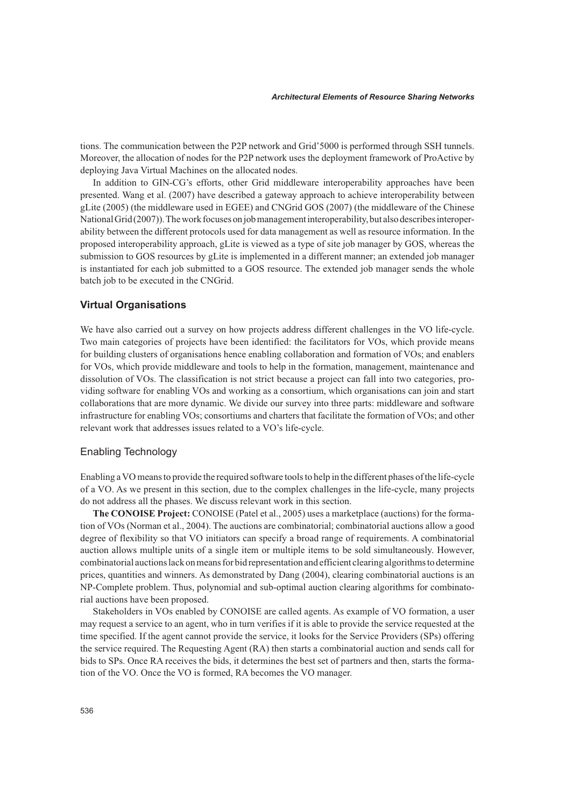tions. The communication between the P2P network and Grid'5000 is performed through SSH tunnels. Moreover, the allocation of nodes for the P2P network uses the deployment framework of ProActive by deploying Java Virtual Machines on the allocated nodes.

In addition to GIN-CG's efforts, other Grid middleware interoperability approaches have been presented. Wang et al. (2007) have described a gateway approach to achieve interoperability between gLite (2005) (the middleware used in EGEE) and CNGrid GOS (2007) (the middleware of the Chinese National Grid (2007)). The work focuses on job management interoperability, but also describes interoperability between the different protocols used for data management as well as resource information. In the proposed interoperability approach, gLite is viewed as a type of site job manager by GOS, whereas the submission to GOS resources by gLite is implemented in a different manner; an extended job manager is instantiated for each job submitted to a GOS resource. The extended job manager sends the whole batch job to be executed in the CNGrid.

## **Virtual Organisations**

We have also carried out a survey on how projects address different challenges in the VO life-cycle. Two main categories of projects have been identified: the facilitators for VOs, which provide means for building clusters of organisations hence enabling collaboration and formation of VOs; and enablers for VOs, which provide middleware and tools to help in the formation, management, maintenance and dissolution of VOs. The classification is not strict because a project can fall into two categories, providing software for enabling VOs and working as a consortium, which organisations can join and start collaborations that are more dynamic. We divide our survey into three parts: middleware and software infrastructure for enabling VOs; consortiums and charters that facilitate the formation of VOs; and other relevant work that addresses issues related to a VO's life-cycle.

## Enabling Technology

Enabling a VO means to provide the required software tools to help in the different phases of the life-cycle of a VO. As we present in this section, due to the complex challenges in the life-cycle, many projects do not address all the phases. We discuss relevant work in this section.

**The CONOISE Project:** CONOISE (Patel et al., 2005) uses a marketplace (auctions) for the formation of VOs (Norman et al., 2004). The auctions are combinatorial; combinatorial auctions allow a good degree of flexibility so that VO initiators can specify a broad range of requirements. A combinatorial auction allows multiple units of a single item or multiple items to be sold simultaneously. However, combinatorial auctions lack on means for bid representation and efficient clearing algorithms to determine prices, quantities and winners. As demonstrated by Dang (2004), clearing combinatorial auctions is an NP-Complete problem. Thus, polynomial and sub-optimal auction clearing algorithms for combinatorial auctions have been proposed.

Stakeholders in VOs enabled by CONOISE are called agents. As example of VO formation, a user may request a service to an agent, who in turn verifies if it is able to provide the service requested at the time specified. If the agent cannot provide the service, it looks for the Service Providers (SPs) offering the service required. The Requesting Agent (RA) then starts a combinatorial auction and sends call for bids to SPs. Once RA receives the bids, it determines the best set of partners and then, starts the formation of the VO. Once the VO is formed, RA becomes the VO manager.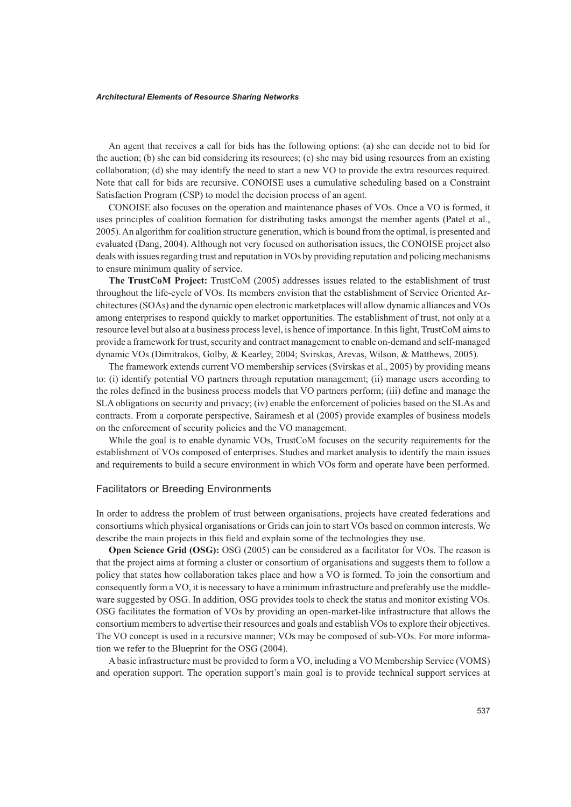An agent that receives a call for bids has the following options: (a) she can decide not to bid for the auction; (b) she can bid considering its resources; (c) she may bid using resources from an existing collaboration; (d) she may identify the need to start a new VO to provide the extra resources required. Note that call for bids are recursive. CONOISE uses a cumulative scheduling based on a Constraint Satisfaction Program (CSP) to model the decision process of an agent.

CONOISE also focuses on the operation and maintenance phases of VOs. Once a VO is formed, it uses principles of coalition formation for distributing tasks amongst the member agents (Patel et al., 2005). An algorithm for coalition structure generation, which is bound from the optimal, is presented and evaluated (Dang, 2004). Although not very focused on authorisation issues, the CONOISE project also deals with issues regarding trust and reputation in VOs by providing reputation and policing mechanisms to ensure minimum quality of service.

**The TrustCoM Project:** TrustCoM (2005) addresses issues related to the establishment of trust throughout the life-cycle of VOs. Its members envision that the establishment of Service Oriented Architectures (SOAs) and the dynamic open electronic marketplaces will allow dynamic alliances and VOs among enterprises to respond quickly to market opportunities. The establishment of trust, not only at a resource level but also at a business process level, is hence of importance. In this light, TrustCoM aims to provide a framework for trust, security and contract management to enable on-demand and self-managed dynamic VOs (Dimitrakos, Golby, & Kearley, 2004; Svirskas, Arevas, Wilson, & Matthews, 2005).

The framework extends current VO membership services (Svirskas et al., 2005) by providing means to: (i) identify potential VO partners through reputation management; (ii) manage users according to the roles defined in the business process models that VO partners perform; (iii) define and manage the SLA obligations on security and privacy; (iv) enable the enforcement of policies based on the SLAs and contracts. From a corporate perspective, Sairamesh et al (2005) provide examples of business models on the enforcement of security policies and the VO management.

While the goal is to enable dynamic VOs, TrustCoM focuses on the security requirements for the establishment of VOs composed of enterprises. Studies and market analysis to identify the main issues and requirements to build a secure environment in which VOs form and operate have been performed.

## Facilitators or Breeding Environments

In order to address the problem of trust between organisations, projects have created federations and consortiums which physical organisations or Grids can join to start VOs based on common interests. We describe the main projects in this field and explain some of the technologies they use.

**Open Science Grid (OSG):** OSG (2005) can be considered as a facilitator for VOs. The reason is that the project aims at forming a cluster or consortium of organisations and suggests them to follow a policy that states how collaboration takes place and how a VO is formed. To join the consortium and consequently form a VO, it is necessary to have a minimum infrastructure and preferably use the middleware suggested by OSG. In addition, OSG provides tools to check the status and monitor existing VOs. OSG facilitates the formation of VOs by providing an open-market-like infrastructure that allows the consortium members to advertise their resources and goals and establish VOs to explore their objectives. The VO concept is used in a recursive manner; VOs may be composed of sub-VOs. For more information we refer to the Blueprint for the OSG (2004).

A basic infrastructure must be provided to form a VO, including a VO Membership Service (VOMS) and operation support. The operation support's main goal is to provide technical support services at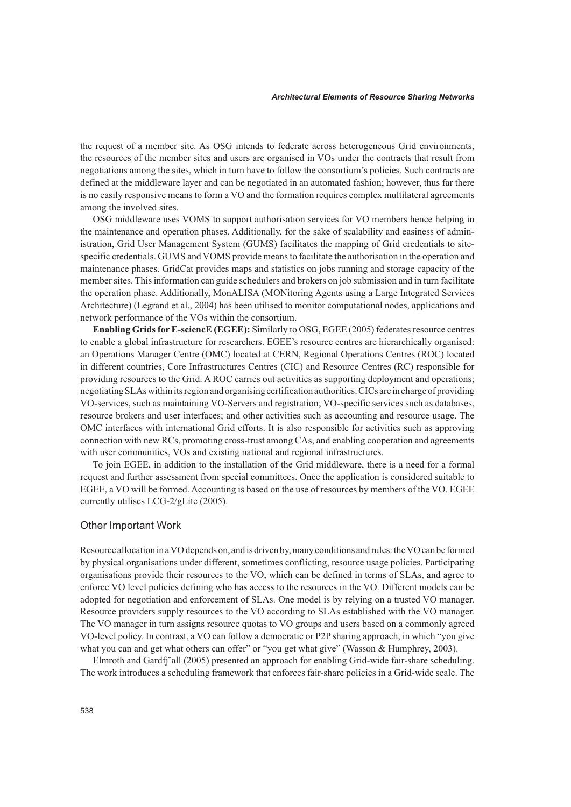the request of a member site. As OSG intends to federate across heterogeneous Grid environments, the resources of the member sites and users are organised in VOs under the contracts that result from negotiations among the sites, which in turn have to follow the consortium's policies. Such contracts are defined at the middleware layer and can be negotiated in an automated fashion; however, thus far there is no easily responsive means to form a VO and the formation requires complex multilateral agreements among the involved sites.

OSG middleware uses VOMS to support authorisation services for VO members hence helping in the maintenance and operation phases. Additionally, for the sake of scalability and easiness of administration, Grid User Management System (GUMS) facilitates the mapping of Grid credentials to sitespecific credentials. GUMS and VOMS provide means to facilitate the authorisation in the operation and maintenance phases. GridCat provides maps and statistics on jobs running and storage capacity of the member sites. This information can guide schedulers and brokers on job submission and in turn facilitate the operation phase. Additionally, MonALISA (MONitoring Agents using a Large Integrated Services Architecture) (Legrand et al., 2004) has been utilised to monitor computational nodes, applications and network performance of the VOs within the consortium.

**Enabling Grids for E-sciencE (EGEE):** Similarly to OSG, EGEE (2005) federates resource centres to enable a global infrastructure for researchers. EGEE's resource centres are hierarchically organised: an Operations Manager Centre (OMC) located at CERN, Regional Operations Centres (ROC) located in different countries, Core Infrastructures Centres (CIC) and Resource Centres (RC) responsible for providing resources to the Grid. A ROC carries out activities as supporting deployment and operations; negotiating SLAs within its region and organising certification authorities. CICs are in charge of providing VO-services, such as maintaining VO-Servers and registration; VO-specific services such as databases, resource brokers and user interfaces; and other activities such as accounting and resource usage. The OMC interfaces with international Grid efforts. It is also responsible for activities such as approving connection with new RCs, promoting cross-trust among CAs, and enabling cooperation and agreements with user communities, VOs and existing national and regional infrastructures.

To join EGEE, in addition to the installation of the Grid middleware, there is a need for a formal request and further assessment from special committees. Once the application is considered suitable to EGEE, a VO will be formed. Accounting is based on the use of resources by members of the VO. EGEE currently utilises LCG-2/gLite (2005).

### Other Important Work

Resource allocation in a VO depends on, and is driven by, many conditions and rules: the VO can be formed by physical organisations under different, sometimes conflicting, resource usage policies. Participating organisations provide their resources to the VO, which can be defined in terms of SLAs, and agree to enforce VO level policies defining who has access to the resources in the VO. Different models can be adopted for negotiation and enforcement of SLAs. One model is by relying on a trusted VO manager. Resource providers supply resources to the VO according to SLAs established with the VO manager. The VO manager in turn assigns resource quotas to VO groups and users based on a commonly agreed VO-level policy. In contrast, a VO can follow a democratic or P2P sharing approach, in which "you give what you can and get what others can offer" or "you get what give" (Wasson & Humphrey, 2003).

Elmroth and Gardfj¨all (2005) presented an approach for enabling Grid-wide fair-share scheduling. The work introduces a scheduling framework that enforces fair-share policies in a Grid-wide scale. The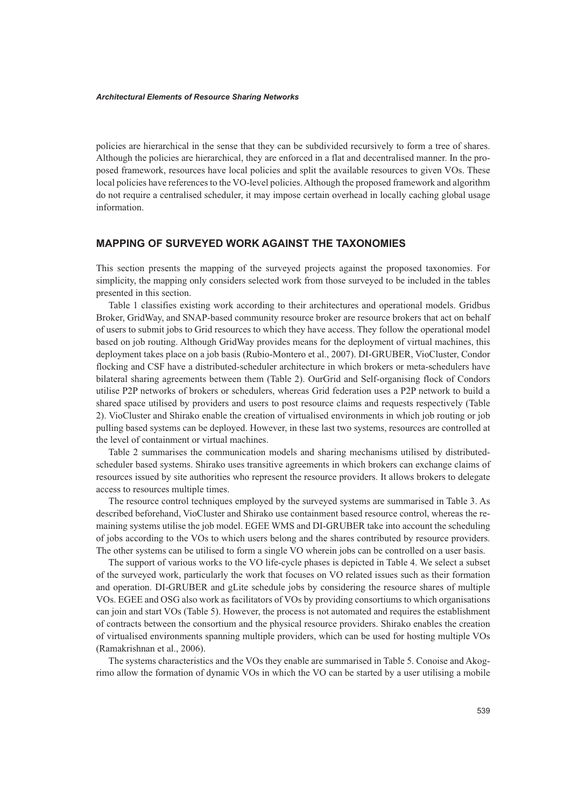policies are hierarchical in the sense that they can be subdivided recursively to form a tree of shares. Although the policies are hierarchical, they are enforced in a flat and decentralised manner. In the proposed framework, resources have local policies and split the available resources to given VOs. These local policies have references to the VO-level policies. Although the proposed framework and algorithm do not require a centralised scheduler, it may impose certain overhead in locally caching global usage information.

## **MAPPING OF SURVEYED WORK AGAINST THE TAXONOMIES**

This section presents the mapping of the surveyed projects against the proposed taxonomies. For simplicity, the mapping only considers selected work from those surveyed to be included in the tables presented in this section.

Table 1 classifies existing work according to their architectures and operational models. Gridbus Broker, GridWay, and SNAP-based community resource broker are resource brokers that act on behalf of users to submit jobs to Grid resources to which they have access. They follow the operational model based on job routing. Although GridWay provides means for the deployment of virtual machines, this deployment takes place on a job basis (Rubio-Montero et al., 2007). DI-GRUBER, VioCluster, Condor flocking and CSF have a distributed-scheduler architecture in which brokers or meta-schedulers have bilateral sharing agreements between them (Table 2). OurGrid and Self-organising flock of Condors utilise P2P networks of brokers or schedulers, whereas Grid federation uses a P2P network to build a shared space utilised by providers and users to post resource claims and requests respectively (Table 2). VioCluster and Shirako enable the creation of virtualised environments in which job routing or job pulling based systems can be deployed. However, in these last two systems, resources are controlled at the level of containment or virtual machines.

Table 2 summarises the communication models and sharing mechanisms utilised by distributedscheduler based systems. Shirako uses transitive agreements in which brokers can exchange claims of resources issued by site authorities who represent the resource providers. It allows brokers to delegate access to resources multiple times.

The resource control techniques employed by the surveyed systems are summarised in Table 3. As described beforehand, VioCluster and Shirako use containment based resource control, whereas the remaining systems utilise the job model. EGEE WMS and DI-GRUBER take into account the scheduling of jobs according to the VOs to which users belong and the shares contributed by resource providers. The other systems can be utilised to form a single VO wherein jobs can be controlled on a user basis.

The support of various works to the VO life-cycle phases is depicted in Table 4. We select a subset of the surveyed work, particularly the work that focuses on VO related issues such as their formation and operation. DI-GRUBER and gLite schedule jobs by considering the resource shares of multiple VOs. EGEE and OSG also work as facilitators of VOs by providing consortiums to which organisations can join and start VOs (Table 5). However, the process is not automated and requires the establishment of contracts between the consortium and the physical resource providers. Shirako enables the creation of virtualised environments spanning multiple providers, which can be used for hosting multiple VOs (Ramakrishnan et al., 2006).

The systems characteristics and the VOs they enable are summarised in Table 5. Conoise and Akogrimo allow the formation of dynamic VOs in which the VO can be started by a user utilising a mobile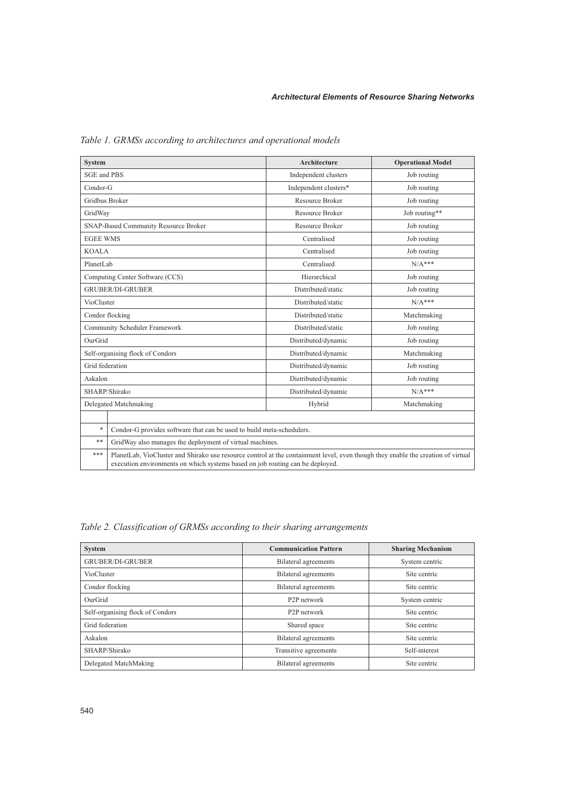| <b>System</b>                        | <b>Architecture</b>                                                                                                                                                                                               | <b>Operational Model</b> |  |  |  |
|--------------------------------------|-------------------------------------------------------------------------------------------------------------------------------------------------------------------------------------------------------------------|--------------------------|--|--|--|
| <b>SGE and PBS</b>                   | Independent clusters                                                                                                                                                                                              | Job routing              |  |  |  |
| Condor-G                             | Independent clusters*                                                                                                                                                                                             | Job routing              |  |  |  |
| Gridbus Broker                       | Resource Broker                                                                                                                                                                                                   | Job routing              |  |  |  |
| GridWay                              | Resource Broker                                                                                                                                                                                                   | Job routing**            |  |  |  |
| SNAP-Based Community Resource Broker | Resource Broker                                                                                                                                                                                                   | Job routing              |  |  |  |
| <b>EGEE WMS</b>                      | Centralised                                                                                                                                                                                                       | Job routing              |  |  |  |
| <b>KOALA</b>                         | Centralised                                                                                                                                                                                                       | Job routing              |  |  |  |
| PlanetLab                            | Centralised                                                                                                                                                                                                       | $N/A***$                 |  |  |  |
| Computing Center Software (CCS)      | Hierarchical                                                                                                                                                                                                      | Job routing              |  |  |  |
| <b>GRUBER/DI-GRUBER</b>              | Distributed/static                                                                                                                                                                                                | Job routing              |  |  |  |
| VioCluster                           | Distributed/static                                                                                                                                                                                                | $N/A***$                 |  |  |  |
| Condor flocking                      | Distributed/static                                                                                                                                                                                                | Matchmaking              |  |  |  |
| Community Scheduler Framework        | Distributed/static                                                                                                                                                                                                | Job routing              |  |  |  |
| OurGrid                              | Distributed/dynamic                                                                                                                                                                                               | Job routing              |  |  |  |
| Self-organising flock of Condors     | Distributed/dynamic                                                                                                                                                                                               | Matchmaking              |  |  |  |
| Grid federation                      | Distributed/dynamic                                                                                                                                                                                               | Job routing              |  |  |  |
| Askalon                              | Distributed/dynamic                                                                                                                                                                                               | Job routing              |  |  |  |
| SHARP/Shirako                        | Distributed/dynamic                                                                                                                                                                                               | $N/A***$                 |  |  |  |
| Delegated Matchmaking                | Hybrid                                                                                                                                                                                                            | Matchmaking              |  |  |  |
|                                      |                                                                                                                                                                                                                   |                          |  |  |  |
| $\ast$                               | Condor-G provides software that can be used to build meta-schedulers.                                                                                                                                             |                          |  |  |  |
| **                                   | GridWay also manages the deployment of virtual machines.                                                                                                                                                          |                          |  |  |  |
| ***                                  | PlanetLab, VioCluster and Shirako use resource control at the containment level, even though they enable the creation of virtual<br>execution environments on which systems based on job routing can be deployed. |                          |  |  |  |

*Table 1. GRMSs according to architectures and operational models* 

|  |  |  | Table 2. Classification of GRMSs according to their sharing arrangements |  |  |
|--|--|--|--------------------------------------------------------------------------|--|--|
|--|--|--|--------------------------------------------------------------------------|--|--|

| <b>System</b>                    | <b>Communication Pattern</b> | <b>Sharing Mechanism</b> |  |
|----------------------------------|------------------------------|--------------------------|--|
| <b>GRUBER/DI-GRUBER</b>          | Bilateral agreements         | System centric           |  |
| VioCluster                       | Bilateral agreements         | Site centric             |  |
| Condor flocking                  | <b>Bilateral agreements</b>  | Site centric             |  |
| OurGrid                          | P <sub>2</sub> P network     | System centric           |  |
| Self-organising flock of Condors | P <sub>2</sub> P network     | Site centric             |  |
| Grid federation                  | Shared space                 | Site centric             |  |
| Askalon                          | Bilateral agreements         | Site centric             |  |
| SHARP/Shirako                    | Transitive agreements        | Self-interest            |  |
| Delegated MatchMaking            | Bilateral agreements         | Site centric             |  |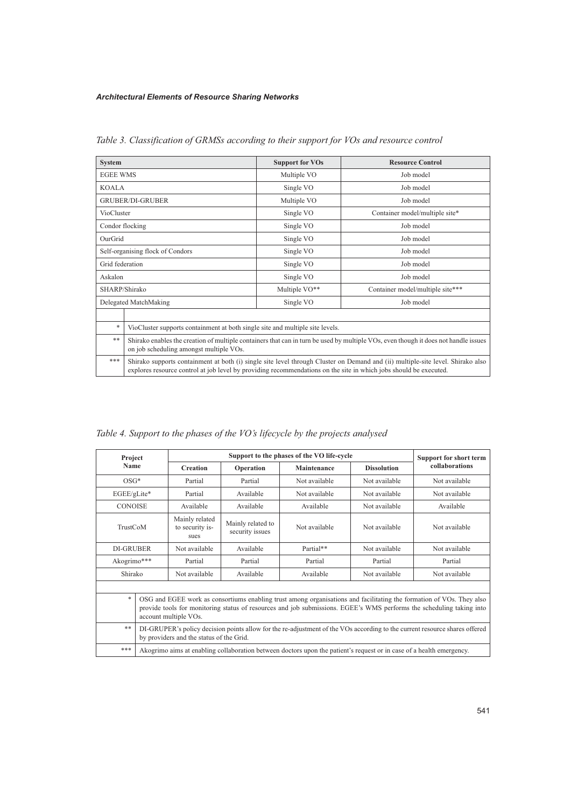*Table 3. Classification of GRMSs according to their support for VOs and resource control* 

| <b>System</b>   |                                                                                                                                                                                                                                                      | <b>Support for VOs</b> | <b>Resource Control</b>        |  |  |
|-----------------|------------------------------------------------------------------------------------------------------------------------------------------------------------------------------------------------------------------------------------------------------|------------------------|--------------------------------|--|--|
| <b>EGEE WMS</b> |                                                                                                                                                                                                                                                      | Multiple VO            | Job model                      |  |  |
| <b>KOALA</b>    |                                                                                                                                                                                                                                                      | Single VO              | Job model                      |  |  |
|                 | <b>GRUBER/DI-GRUBER</b>                                                                                                                                                                                                                              | Multiple VO            | Job model                      |  |  |
| VioCluster      |                                                                                                                                                                                                                                                      | Single VO              | Container model/multiple site* |  |  |
|                 | Condor flocking                                                                                                                                                                                                                                      | Single VO              | Job model                      |  |  |
| OurGrid         |                                                                                                                                                                                                                                                      | Single VO              | Job model                      |  |  |
|                 | Self-organising flock of Condors                                                                                                                                                                                                                     | Single VO              | Job model                      |  |  |
| Grid federation |                                                                                                                                                                                                                                                      | Single VO              | Job model                      |  |  |
| Askalon         |                                                                                                                                                                                                                                                      | Single VO              | Job model                      |  |  |
|                 | Multiple VO**<br>Container model/multiple site***<br>SHARP/Shirako                                                                                                                                                                                   |                        |                                |  |  |
|                 | Delegated MatchMaking                                                                                                                                                                                                                                | Single VO              | Job model                      |  |  |
|                 |                                                                                                                                                                                                                                                      |                        |                                |  |  |
| *               | VioCluster supports containment at both single site and multiple site levels.                                                                                                                                                                        |                        |                                |  |  |
| **              | Shirako enables the creation of multiple containers that can in turn be used by multiple VOs, even though it does not handle issues<br>on job scheduling amongst multiple VOs.                                                                       |                        |                                |  |  |
| ***             | Shirako supports containment at both (i) single site level through Cluster on Demand and (ii) multiple-site level. Shirako also<br>explores resource control at job level by providing recommendations on the site in which jobs should be executed. |                        |                                |  |  |

*Table 4. Support to the phases of the VO's lifecycle by the projects analysed* 

| Project<br>Name                              |                                                                                                                                                                                                                                                                       |                                           | Support for short term               |               |                    |                |  |
|----------------------------------------------|-----------------------------------------------------------------------------------------------------------------------------------------------------------------------------------------------------------------------------------------------------------------------|-------------------------------------------|--------------------------------------|---------------|--------------------|----------------|--|
|                                              |                                                                                                                                                                                                                                                                       | <b>Creation</b>                           | Operation<br>Maintenance             |               | <b>Dissolution</b> | collaborations |  |
| $OSG*$                                       |                                                                                                                                                                                                                                                                       | Partial                                   | Partial                              | Not available | Not available      | Not available  |  |
| EGEE/gLite*                                  |                                                                                                                                                                                                                                                                       | Partial                                   | Available                            | Not available | Not available      | Not available  |  |
| <b>CONOISE</b>                               |                                                                                                                                                                                                                                                                       | Available                                 | Available                            | Available     | Not available      | Available      |  |
| TrustCoM                                     |                                                                                                                                                                                                                                                                       | Mainly related<br>to security is-<br>sues | Mainly related to<br>security issues | Not available | Not available      | Not available  |  |
| DI-GRUBER                                    |                                                                                                                                                                                                                                                                       | Not available                             | Available                            | Partial**     | Not available      | Not available  |  |
| Akogrimo***<br>Partial<br>Partial<br>Partial |                                                                                                                                                                                                                                                                       |                                           | Partial                              | Partial       |                    |                |  |
| Shirako                                      |                                                                                                                                                                                                                                                                       | Not available                             | Available                            | Available     | Not available      | Not available  |  |
|                                              |                                                                                                                                                                                                                                                                       |                                           |                                      |               |                    |                |  |
| $\ast$                                       | OSG and EGEE work as consortiums enabling trust among organisations and facilitating the formation of VOs. They also<br>provide tools for monitoring status of resources and job submissions. EGEE's WMS performs the scheduling taking into<br>account multiple VOs. |                                           |                                      |               |                    |                |  |
| $***$                                        | DI-GRUPER's policy decision points allow for the re-adjustment of the VOs according to the current resource shares offered<br>by providers and the status of the Grid.                                                                                                |                                           |                                      |               |                    |                |  |
| ***                                          | Akogrimo aims at enabling collaboration between doctors upon the patient's request or in case of a health emergency.                                                                                                                                                  |                                           |                                      |               |                    |                |  |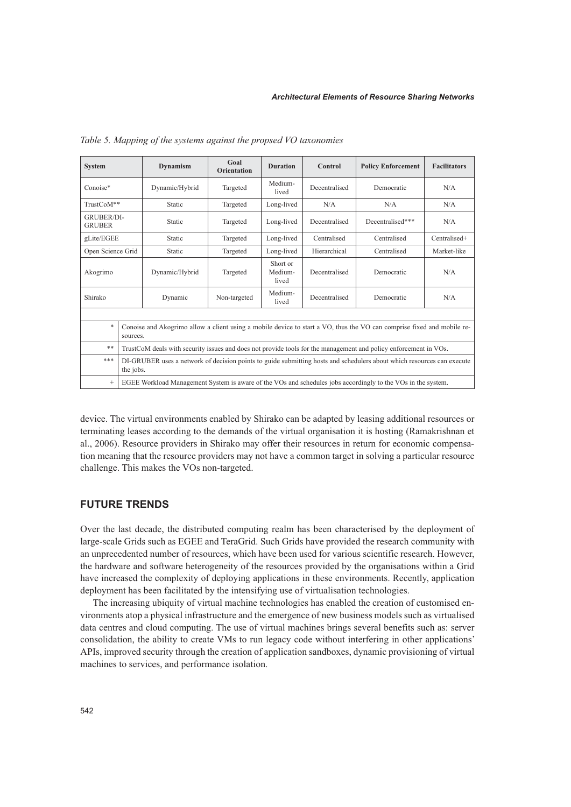| <b>System</b>               |                                                                                                                                     | Dynamism       | Goal<br><b>Orientation</b> | <b>Duration</b>              | Control       | <b>Policy Enforcement</b> | <b>Facilitators</b> |
|-----------------------------|-------------------------------------------------------------------------------------------------------------------------------------|----------------|----------------------------|------------------------------|---------------|---------------------------|---------------------|
| Conoise*                    |                                                                                                                                     | Dynamic/Hybrid | Targeted                   | Medium-<br>lived             | Decentralised | Democratic                | N/A                 |
| TrustCoM**                  |                                                                                                                                     | Static         | Targeted                   | Long-lived                   | N/A           | N/A                       | N/A                 |
| GRUBER/DI-<br><b>GRUBER</b> |                                                                                                                                     | Static         | Targeted                   | Long-lived                   | Decentralised | Decentralised***          | N/A                 |
| gLite/EGEE                  |                                                                                                                                     | Static         | Targeted                   | Long-lived                   | Centralised   | Centralised               | Centralised+        |
| Open Science Grid           |                                                                                                                                     | Static         | Targeted                   | Long-lived                   | Hierarchical  | Centralised               | Market-like         |
| Akogrimo                    |                                                                                                                                     | Dynamic/Hybrid | Targeted                   | Short or<br>Medium-<br>lived | Decentralised | Democratic                | N/A                 |
| Shirako<br>Dynamic          |                                                                                                                                     |                | Non-targeted               | Medium-<br>lived             | Decentralised | Democratic                | N/A                 |
|                             |                                                                                                                                     |                |                            |                              |               |                           |                     |
| *                           | Conoise and Akogrimo allow a client using a mobile device to start a VO, thus the VO can comprise fixed and mobile re-<br>sources.  |                |                            |                              |               |                           |                     |
| $**$                        | TrustCoM deals with security issues and does not provide tools for the management and policy enforcement in VOs.                    |                |                            |                              |               |                           |                     |
| ***                         | DI-GRUBER uses a network of decision points to guide submitting hosts and schedulers about which resources can execute<br>the jobs. |                |                            |                              |               |                           |                     |
| $+$                         | EGEE Workload Management System is aware of the VOs and schedules jobs accordingly to the VOs in the system.                        |                |                            |                              |               |                           |                     |

*Table 5. Mapping of the systems against the propsed VO taxonomies* 

device. The virtual environments enabled by Shirako can be adapted by leasing additional resources or terminating leases according to the demands of the virtual organisation it is hosting (Ramakrishnan et al., 2006). Resource providers in Shirako may offer their resources in return for economic compensation meaning that the resource providers may not have a common target in solving a particular resource challenge. This makes the VOs non-targeted.

# **FUTURE TRENDS**

Over the last decade, the distributed computing realm has been characterised by the deployment of large-scale Grids such as EGEE and TeraGrid. Such Grids have provided the research community with an unprecedented number of resources, which have been used for various scientific research. However, the hardware and software heterogeneity of the resources provided by the organisations within a Grid have increased the complexity of deploying applications in these environments. Recently, application deployment has been facilitated by the intensifying use of virtualisation technologies.

The increasing ubiquity of virtual machine technologies has enabled the creation of customised environments atop a physical infrastructure and the emergence of new business models such as virtualised data centres and cloud computing. The use of virtual machines brings several benefits such as: server consolidation, the ability to create VMs to run legacy code without interfering in other applications' APIs, improved security through the creation of application sandboxes, dynamic provisioning of virtual machines to services, and performance isolation.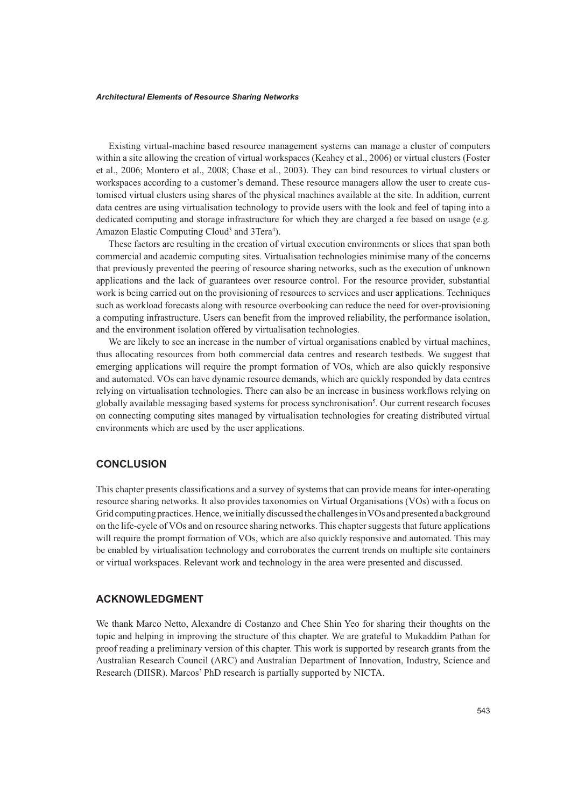Existing virtual-machine based resource management systems can manage a cluster of computers within a site allowing the creation of virtual workspaces (Keahey et al., 2006) or virtual clusters (Foster et al., 2006; Montero et al., 2008; Chase et al., 2003). They can bind resources to virtual clusters or workspaces according to a customer's demand. These resource managers allow the user to create customised virtual clusters using shares of the physical machines available at the site. In addition, current data centres are using virtualisation technology to provide users with the look and feel of taping into a dedicated computing and storage infrastructure for which they are charged a fee based on usage (e.g. Amazon Elastic Computing Cloud<sup>3</sup> and 3Tera<sup>4</sup>).

These factors are resulting in the creation of virtual execution environments or slices that span both commercial and academic computing sites. Virtualisation technologies minimise many of the concerns that previously prevented the peering of resource sharing networks, such as the execution of unknown applications and the lack of guarantees over resource control. For the resource provider, substantial work is being carried out on the provisioning of resources to services and user applications. Techniques such as workload forecasts along with resource overbooking can reduce the need for over-provisioning a computing infrastructure. Users can benefit from the improved reliability, the performance isolation, and the environment isolation offered by virtualisation technologies.

We are likely to see an increase in the number of virtual organisations enabled by virtual machines, thus allocating resources from both commercial data centres and research testbeds. We suggest that emerging applications will require the prompt formation of VOs, which are also quickly responsive and automated. VOs can have dynamic resource demands, which are quickly responded by data centres relying on virtualisation technologies. There can also be an increase in business workflows relying on globally available messaging based systems for process synchronisation5 . Our current research focuses on connecting computing sites managed by virtualisation technologies for creating distributed virtual environments which are used by the user applications.

## **CONCLUSION**

This chapter presents classifications and a survey of systems that can provide means for inter-operating resource sharing networks. It also provides taxonomies on Virtual Organisations (VOs) with a focus on Grid computing practices. Hence, we initially discussed the challenges in VOs and presented a background on the life-cycle of VOs and on resource sharing networks. This chapter suggests that future applications will require the prompt formation of VOs, which are also quickly responsive and automated. This may be enabled by virtualisation technology and corroborates the current trends on multiple site containers or virtual workspaces. Relevant work and technology in the area were presented and discussed.

## **ACKNOWLEDGMENT**

We thank Marco Netto, Alexandre di Costanzo and Chee Shin Yeo for sharing their thoughts on the topic and helping in improving the structure of this chapter. We are grateful to Mukaddim Pathan for proof reading a preliminary version of this chapter. This work is supported by research grants from the Australian Research Council (ARC) and Australian Department of Innovation, Industry, Science and Research (DIISR). Marcos' PhD research is partially supported by NICTA.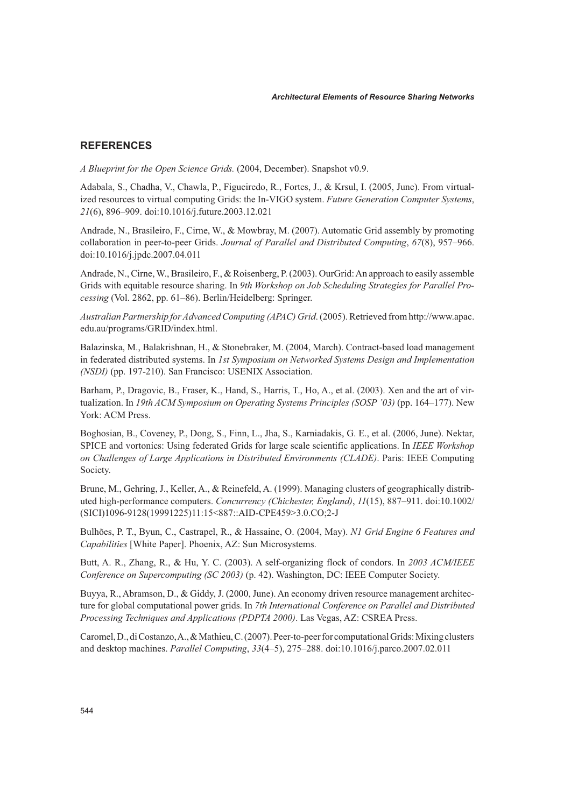# **REFERENCES**

*A Blueprint for the Open Science Grids.* (2004, December). Snapshot v0.9.

Adabala, S., Chadha, V., Chawla, P., Figueiredo, R., Fortes, J., & Krsul, I. (2005, June). From virtualized resources to virtual computing Grids: the In-VIGO system. *Future Generation Computer Systems*, *21*(6), 896–909. doi:10.1016/j.future.2003.12.021

Andrade, N., Brasileiro, F., Cirne, W., & Mowbray, M. (2007). Automatic Grid assembly by promoting collaboration in peer-to-peer Grids. *Journal of Parallel and Distributed Computing*, *67*(8), 957–966. doi:10.1016/j.jpdc.2007.04.011

Andrade, N., Cirne, W., Brasileiro, F., & Roisenberg, P. (2003). OurGrid: An approach to easily assemble Grids with equitable resource sharing. In *9th Workshop on Job Scheduling Strategies for Parallel Processing* (Vol. 2862, pp. 61–86). Berlin/Heidelberg: Springer.

*Australian Partnership for Advanced Computing (APAC) Grid*. (2005). Retrieved from http://www.apac. edu.au/programs/GRID/index.html.

Balazinska, M., Balakrishnan, H., & Stonebraker, M. (2004, March). Contract-based load management in federated distributed systems. In *1st Symposium on Networked Systems Design and Implementation (NSDI)* (pp. 197-210). San Francisco: USENIX Association.

Barham, P., Dragovic, B., Fraser, K., Hand, S., Harris, T., Ho, A., et al. (2003). Xen and the art of virtualization. In *19th ACM Symposium on Operating Systems Principles (SOSP '03)* (pp. 164–177). New York: ACM Press.

Boghosian, B., Coveney, P., Dong, S., Finn, L., Jha, S., Karniadakis, G. E., et al. (2006, June). Nektar, SPICE and vortonics: Using federated Grids for large scale scientific applications. In *IEEE Workshop on Challenges of Large Applications in Distributed Environments (CLADE)*. Paris: IEEE Computing Society.

Brune, M., Gehring, J., Keller, A., & Reinefeld, A. (1999). Managing clusters of geographically distributed high-performance computers. *Concurrency (Chichester, England)*, *11*(15), 887–911. doi:10.1002/ (SICI)1096-9128(19991225)11:15<887::AID-CPE459>3.0.CO;2-J

Bulhões, P. T., Byun, C., Castrapel, R., & Hassaine, O. (2004, May). *N1 Grid Engine 6 Features and Capabilities* [White Paper]. Phoenix, AZ: Sun Microsystems.

Butt, A. R., Zhang, R., & Hu, Y. C. (2003). A self-organizing flock of condors. In *2003 ACM/IEEE Conference on Supercomputing (SC 2003)* (p. 42). Washington, DC: IEEE Computer Society.

Buyya, R., Abramson, D., & Giddy, J. (2000, June). An economy driven resource management architecture for global computational power grids. In *7th International Conference on Parallel and Distributed Processing Techniques and Applications (PDPTA 2000)*. Las Vegas, AZ: CSREA Press.

Caromel, D., di Costanzo, A., & Mathieu, C. (2007). Peer-to-peer for computational Grids: Mixing clusters and desktop machines. *Parallel Computing*, *33*(4–5), 275–288. doi:10.1016/j.parco.2007.02.011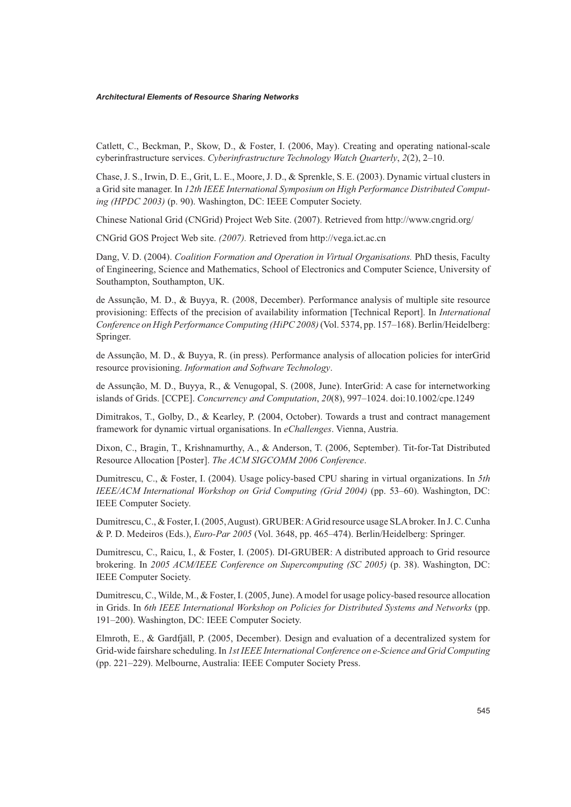Catlett, C., Beckman, P., Skow, D., & Foster, I. (2006, May). Creating and operating national-scale cyberinfrastructure services. *Cyberinfrastructure Technology Watch Quarterly*, *2*(2), 2–10.

Chase, J. S., Irwin, D. E., Grit, L. E., Moore, J. D., & Sprenkle, S. E. (2003). Dynamic virtual clusters in a Grid site manager. In *12th IEEE International Symposium on High Performance Distributed Computing (HPDC 2003)* (p. 90). Washington, DC: IEEE Computer Society.

Chinese National Grid (CNGrid) Project Web Site. (2007). Retrieved from http://www.cngrid.org/

CNGrid GOS Project Web site. *(2007).* Retrieved from http://vega.ict.ac.cn

Dang, V. D. (2004). *Coalition Formation and Operation in Virtual Organisations.* PhD thesis, Faculty of Engineering, Science and Mathematics, School of Electronics and Computer Science, University of Southampton, Southampton, UK.

de Assunção, M. D., & Buyya, R. (2008, December). Performance analysis of multiple site resource provisioning: Effects of the precision of availability information [Technical Report]. In *International Conference on High Performance Computing (HiPC 2008)* (Vol. 5374, pp. 157–168). Berlin/Heidelberg: Springer.

de Assunção, M. D., & Buyya, R. (in press). Performance analysis of allocation policies for interGrid resource provisioning. *Information and Software Technology*.

de Assunção, M. D., Buyya, R., & Venugopal, S. (2008, June). InterGrid: A case for internetworking islands of Grids. [CCPE]. *Concurrency and Computation*, *20*(8), 997–1024. doi:10.1002/cpe.1249

Dimitrakos, T., Golby, D., & Kearley, P. (2004, October). Towards a trust and contract management framework for dynamic virtual organisations. In *eChallenges*. Vienna, Austria.

Dixon, C., Bragin, T., Krishnamurthy, A., & Anderson, T. (2006, September). Tit-for-Tat Distributed Resource Allocation [Poster]. *The ACM SIGCOMM 2006 Conference*.

Dumitrescu, C., & Foster, I. (2004). Usage policy-based CPU sharing in virtual organizations. In *5th IEEE/ACM International Workshop on Grid Computing (Grid 2004)* (pp. 53–60). Washington, DC: IEEE Computer Society.

Dumitrescu, C., & Foster, I. (2005, August). GRUBER: A Grid resource usage SLA broker. In J. C. Cunha & P. D. Medeiros (Eds.), *Euro-Par 2005* (Vol. 3648, pp. 465–474). Berlin/Heidelberg: Springer.

Dumitrescu, C., Raicu, I., & Foster, I. (2005). DI-GRUBER: A distributed approach to Grid resource brokering. In *2005 ACM/IEEE Conference on Supercomputing (SC 2005)* (p. 38). Washington, DC: IEEE Computer Society.

Dumitrescu, C., Wilde, M., & Foster, I. (2005, June). A model for usage policy-based resource allocation in Grids. In *6th IEEE International Workshop on Policies for Distributed Systems and Networks* (pp. 191–200). Washington, DC: IEEE Computer Society.

Elmroth, E., & Gardfjäll, P. (2005, December). Design and evaluation of a decentralized system for Grid-wide fairshare scheduling. In *1st IEEE International Conference on e-Science and Grid Computing* (pp. 221–229). Melbourne, Australia: IEEE Computer Society Press.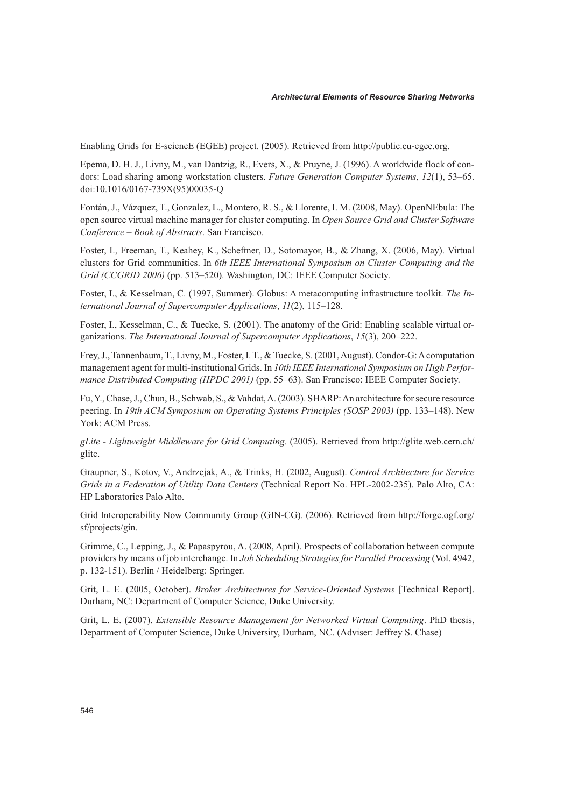Enabling Grids for E-sciencE (EGEE) project. (2005). Retrieved from http://public.eu-egee.org.

Epema, D. H. J., Livny, M., van Dantzig, R., Evers, X., & Pruyne, J. (1996). A worldwide flock of condors: Load sharing among workstation clusters. *Future Generation Computer Systems*, *12*(1), 53–65. doi:10.1016/0167-739X(95)00035-Q

Fontán, J., Vázquez, T., Gonzalez, L., Montero, R. S., & Llorente, I. M. (2008, May). OpenNEbula: The open source virtual machine manager for cluster computing. In *Open Source Grid and Cluster Software Conference – Book of Abstracts*. San Francisco.

Foster, I., Freeman, T., Keahey, K., Scheftner, D., Sotomayor, B., & Zhang, X. (2006, May). Virtual clusters for Grid communities. In *6th IEEE International Symposium on Cluster Computing and the Grid (CCGRID 2006)* (pp. 513–520). Washington, DC: IEEE Computer Society.

Foster, I., & Kesselman, C. (1997, Summer). Globus: A metacomputing infrastructure toolkit. *The International Journal of Supercomputer Applications*, *11*(2), 115–128.

Foster, I., Kesselman, C., & Tuecke, S. (2001). The anatomy of the Grid: Enabling scalable virtual organizations. *The International Journal of Supercomputer Applications*, *15*(3), 200–222.

Frey, J., Tannenbaum, T., Livny, M., Foster, I. T., & Tuecke, S. (2001, August). Condor-G: A computation management agent for multi-institutional Grids. In *10th IEEE International Symposium on High Performance Distributed Computing (HPDC 2001)* (pp. 55–63). San Francisco: IEEE Computer Society.

Fu, Y., Chase, J., Chun, B., Schwab, S., & Vahdat, A. (2003). SHARP: An architecture for secure resource peering. In *19th ACM Symposium on Operating Systems Principles (SOSP 2003)* (pp. 133–148). New York: ACM Press.

*gLite - Lightweight Middleware for Grid Computing.* (2005). Retrieved from http://glite.web.cern.ch/ glite.

Graupner, S., Kotov, V., Andrzejak, A., & Trinks, H. (2002, August). *Control Architecture for Service Grids in a Federation of Utility Data Centers* (Technical Report No. HPL-2002-235). Palo Alto, CA: HP Laboratories Palo Alto.

Grid Interoperability Now Community Group (GIN-CG). (2006). Retrieved from http://forge.ogf.org/ sf/projects/gin.

Grimme, C., Lepping, J., & Papaspyrou, A. (2008, April). Prospects of collaboration between compute providers by means of job interchange. In *Job Scheduling Strategies for Parallel Processing* (Vol. 4942, p. 132-151). Berlin / Heidelberg: Springer.

Grit, L. E. (2005, October). *Broker Architectures for Service-Oriented Systems* [Technical Report]. Durham, NC: Department of Computer Science, Duke University.

Grit, L. E. (2007). *Extensible Resource Management for Networked Virtual Computing*. PhD thesis, Department of Computer Science, Duke University, Durham, NC. (Adviser: Jeffrey S. Chase)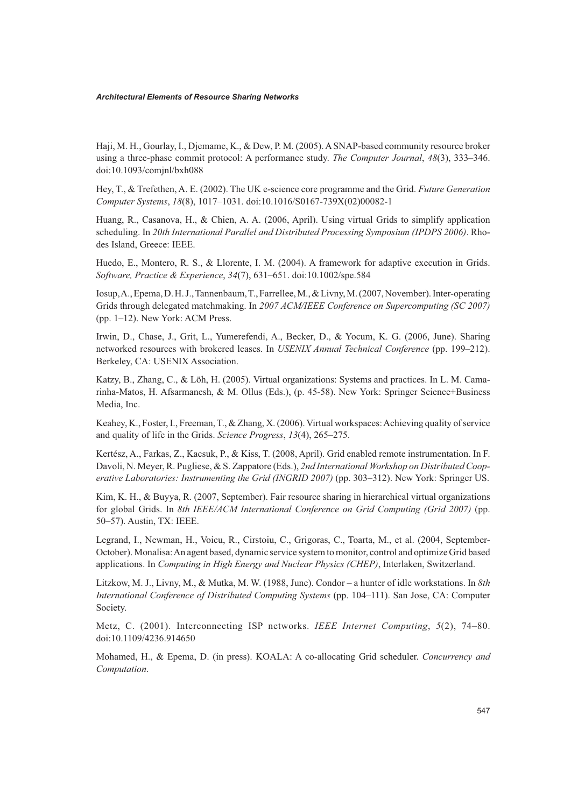Haji, M. H., Gourlay, I., Djemame, K., & Dew, P. M. (2005). A SNAP-based community resource broker using a three-phase commit protocol: A performance study. *The Computer Journal*, *48*(3), 333–346. doi:10.1093/comjnl/bxh088

Hey, T., & Trefethen, A. E. (2002). The UK e-science core programme and the Grid. *Future Generation Computer Systems*, *18*(8), 1017–1031. doi:10.1016/S0167-739X(02)00082-1

Huang, R., Casanova, H., & Chien, A. A. (2006, April). Using virtual Grids to simplify application scheduling. In *20th International Parallel and Distributed Processing Symposium (IPDPS 2006)*. Rhodes Island, Greece: IEEE.

Huedo, E., Montero, R. S., & Llorente, I. M. (2004). A framework for adaptive execution in Grids. *Software, Practice & Experience*, *34*(7), 631–651. doi:10.1002/spe.584

Iosup, A., Epema, D. H. J., Tannenbaum, T., Farrellee, M., & Livny, M. (2007, November). Inter-operating Grids through delegated matchmaking. In *2007 ACM/IEEE Conference on Supercomputing (SC 2007)* (pp. 1–12). New York: ACM Press.

Irwin, D., Chase, J., Grit, L., Yumerefendi, A., Becker, D., & Yocum, K. G. (2006, June). Sharing networked resources with brokered leases. In *USENIX Annual Technical Conference* (pp. 199–212). Berkeley, CA: USENIX Association.

Katzy, B., Zhang, C., & Löh, H. (2005). Virtual organizations: Systems and practices. In L. M. Camarinha-Matos, H. Afsarmanesh, & M. Ollus (Eds.), (p. 45-58). New York: Springer Science+Business Media, Inc.

Keahey, K., Foster, I., Freeman, T., & Zhang, X. (2006). Virtual workspaces: Achieving quality of service and quality of life in the Grids. *Science Progress*, *13*(4), 265–275.

Kertész, A., Farkas, Z., Kacsuk, P., & Kiss, T. (2008, April). Grid enabled remote instrumentation. In F. Davoli, N. Meyer, R. Pugliese, & S. Zappatore (Eds.), *2nd International Workshop on Distributed Cooperative Laboratories: Instrumenting the Grid (INGRID 2007)* (pp. 303–312). New York: Springer US.

Kim, K. H., & Buyya, R. (2007, September). Fair resource sharing in hierarchical virtual organizations for global Grids. In *8th IEEE/ACM International Conference on Grid Computing (Grid 2007)* (pp. 50–57). Austin, TX: IEEE.

Legrand, I., Newman, H., Voicu, R., Cirstoiu, C., Grigoras, C., Toarta, M., et al. (2004, September-October). Monalisa: An agent based, dynamic service system to monitor, control and optimize Grid based applications. In *Computing in High Energy and Nuclear Physics (CHEP)*, Interlaken, Switzerland.

Litzkow, M. J., Livny, M., & Mutka, M. W. (1988, June). Condor – a hunter of idle workstations. In *8th International Conference of Distributed Computing Systems* (pp. 104–111). San Jose, CA: Computer Society.

Metz, C. (2001). Interconnecting ISP networks. *IEEE Internet Computing*, *5*(2), 74–80. doi:10.1109/4236.914650

Mohamed, H., & Epema, D. (in press). KOALA: A co-allocating Grid scheduler. *Concurrency and Computation*.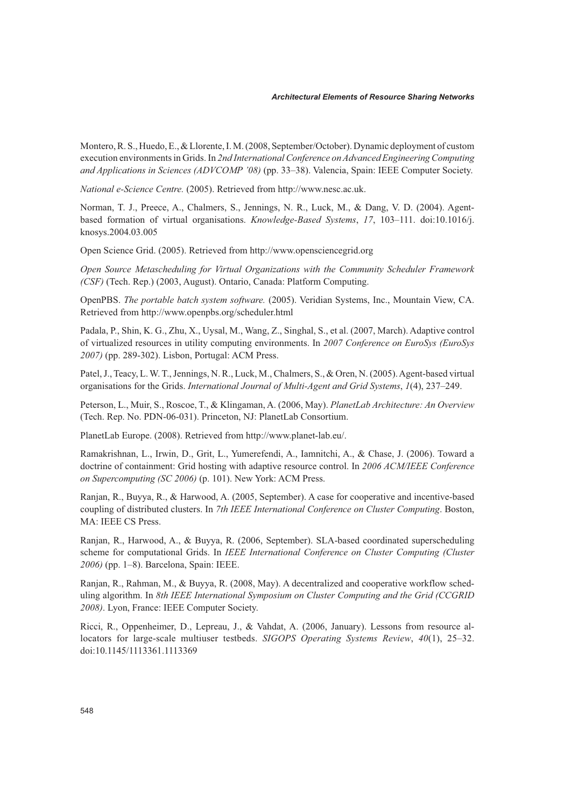Montero, R. S., Huedo, E., & Llorente, I. M. (2008, September/October). Dynamic deployment of custom execution environments in Grids. In *2nd International Conference on Advanced Engineering Computing and Applications in Sciences (ADVCOMP '08)* (pp. 33–38). Valencia, Spain: IEEE Computer Society.

*National e-Science Centre.* (2005). Retrieved from http://www.nesc.ac.uk.

Norman, T. J., Preece, A., Chalmers, S., Jennings, N. R., Luck, M., & Dang, V. D. (2004). Agentbased formation of virtual organisations. *Knowledge-Based Systems*, *17*, 103–111. doi:10.1016/j. knosys.2004.03.005

Open Science Grid. (2005). Retrieved from http://www.opensciencegrid.org

*Open Source Metascheduling for Virtual Organizations with the Community Scheduler Framework (CSF)* (Tech. Rep.) (2003, August). Ontario, Canada: Platform Computing.

OpenPBS. *The portable batch system software.* (2005). Veridian Systems, Inc., Mountain View, CA. Retrieved from http://www.openpbs.org/scheduler.html

Padala, P., Shin, K. G., Zhu, X., Uysal, M., Wang, Z., Singhal, S., et al. (2007, March). Adaptive control of virtualized resources in utility computing environments. In *2007 Conference on EuroSys (EuroSys 2007)* (pp. 289-302). Lisbon, Portugal: ACM Press.

Patel, J., Teacy, L. W. T., Jennings, N. R., Luck, M., Chalmers, S., & Oren, N. (2005). Agent-based virtual organisations for the Grids. *International Journal of Multi-Agent and Grid Systems*, *1*(4), 237–249.

Peterson, L., Muir, S., Roscoe, T., & Klingaman, A. (2006, May). *PlanetLab Architecture: An Overview* (Tech. Rep. No. PDN-06-031). Princeton, NJ: PlanetLab Consortium.

PlanetLab Europe. (2008). Retrieved from http://www.planet-lab.eu/.

Ramakrishnan, L., Irwin, D., Grit, L., Yumerefendi, A., Iamnitchi, A., & Chase, J. (2006). Toward a doctrine of containment: Grid hosting with adaptive resource control. In *2006 ACM/IEEE Conference on Supercomputing (SC 2006)* (p. 101). New York: ACM Press.

Ranjan, R., Buyya, R., & Harwood, A. (2005, September). A case for cooperative and incentive-based coupling of distributed clusters. In *7th IEEE International Conference on Cluster Computing*. Boston, MA: IEEE CS Press.

Ranjan, R., Harwood, A., & Buyya, R. (2006, September). SLA-based coordinated superscheduling scheme for computational Grids. In *IEEE International Conference on Cluster Computing (Cluster 2006)* (pp. 1–8). Barcelona, Spain: IEEE.

Ranjan, R., Rahman, M., & Buyya, R. (2008, May). A decentralized and cooperative workflow scheduling algorithm. In *8th IEEE International Symposium on Cluster Computing and the Grid (CCGRID 2008)*. Lyon, France: IEEE Computer Society.

Ricci, R., Oppenheimer, D., Lepreau, J., & Vahdat, A. (2006, January). Lessons from resource allocators for large-scale multiuser testbeds. *SIGOPS Operating Systems Review*, *40*(1), 25–32. doi:10.1145/1113361.1113369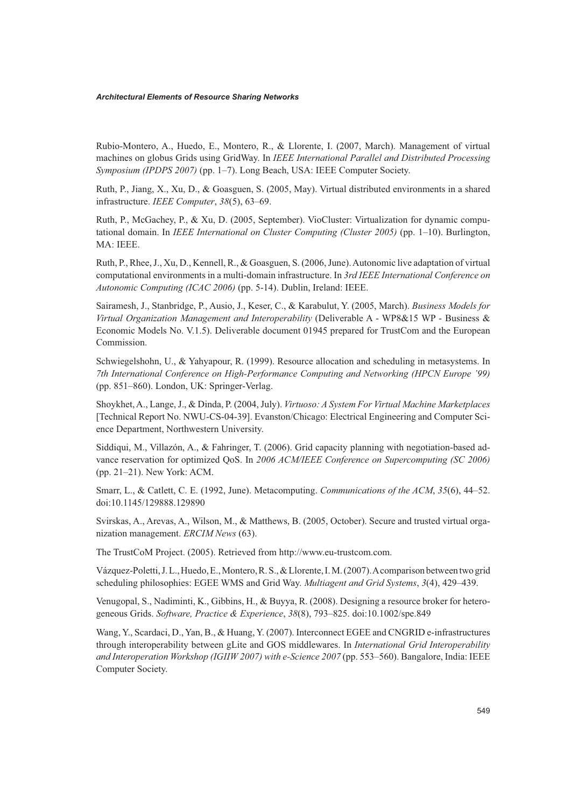Rubio-Montero, A., Huedo, E., Montero, R., & Llorente, I. (2007, March). Management of virtual machines on globus Grids using GridWay. In *IEEE International Parallel and Distributed Processing Symposium (IPDPS 2007)* (pp. 1–7). Long Beach, USA: IEEE Computer Society.

Ruth, P., Jiang, X., Xu, D., & Goasguen, S. (2005, May). Virtual distributed environments in a shared infrastructure. *IEEE Computer*, *38*(5), 63–69.

Ruth, P., McGachey, P., & Xu, D. (2005, September). VioCluster: Virtualization for dynamic computational domain. In *IEEE International on Cluster Computing (Cluster 2005)* (pp. 1–10). Burlington, MA: IEEE.

Ruth, P., Rhee, J., Xu, D., Kennell, R., & Goasguen, S. (2006, June). Autonomic live adaptation of virtual computational environments in a multi-domain infrastructure. In *3rd IEEE International Conference on Autonomic Computing (ICAC 2006)* (pp. 5-14). Dublin, Ireland: IEEE.

Sairamesh, J., Stanbridge, P., Ausio, J., Keser, C., & Karabulut, Y. (2005, March). *Business Models for Virtual Organization Management and Interoperability* (Deliverable A - WP8&15 WP - Business & Economic Models No. V.1.5). Deliverable document 01945 prepared for TrustCom and the European Commission.

Schwiegelshohn, U., & Yahyapour, R. (1999). Resource allocation and scheduling in metasystems. In *7th International Conference on High-Performance Computing and Networking (HPCN Europe '99)* (pp. 851–860). London, UK: Springer-Verlag.

Shoykhet, A., Lange, J., & Dinda, P. (2004, July). *Virtuoso: A System For Virtual Machine Marketplaces* [Technical Report No. NWU-CS-04-39]. Evanston/Chicago: Electrical Engineering and Computer Science Department, Northwestern University.

Siddiqui, M., Villazón, A., & Fahringer, T. (2006). Grid capacity planning with negotiation-based advance reservation for optimized QoS. In *2006 ACM/IEEE Conference on Supercomputing (SC 2006)* (pp. 21–21). New York: ACM.

Smarr, L., & Catlett, C. E. (1992, June). Metacomputing. *Communications of the ACM*, *35*(6), 44–52. doi:10.1145/129888.129890

Svirskas, A., Arevas, A., Wilson, M., & Matthews, B. (2005, October). Secure and trusted virtual organization management. *ERCIM News* (63).

The TrustCoM Project. (2005). Retrieved from http://www.eu-trustcom.com.

Vázquez-Poletti, J. L., Huedo, E., Montero, R. S., & Llorente, I. M. (2007). A comparison between two grid scheduling philosophies: EGEE WMS and Grid Way. *Multiagent and Grid Systems*, *3*(4), 429–439.

Venugopal, S., Nadiminti, K., Gibbins, H., & Buyya, R. (2008). Designing a resource broker for heterogeneous Grids. *Software, Practice & Experience*, *38*(8), 793–825. doi:10.1002/spe.849

Wang, Y., Scardaci, D., Yan, B., & Huang, Y. (2007). Interconnect EGEE and CNGRID e-infrastructures through interoperability between gLite and GOS middlewares. In *International Grid Interoperability and Interoperation Workshop (IGIIW 2007) with e-Science 2007* (pp. 553–560). Bangalore, India: IEEE Computer Society.